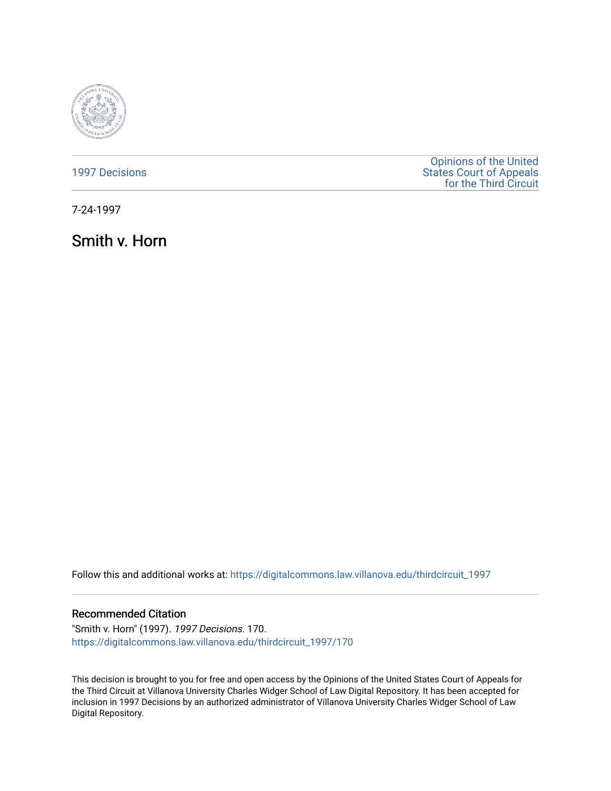

[1997 Decisions](https://digitalcommons.law.villanova.edu/thirdcircuit_1997)

[Opinions of the United](https://digitalcommons.law.villanova.edu/thirdcircuit)  [States Court of Appeals](https://digitalcommons.law.villanova.edu/thirdcircuit)  [for the Third Circuit](https://digitalcommons.law.villanova.edu/thirdcircuit) 

7-24-1997

Smith v. Horn

Follow this and additional works at: [https://digitalcommons.law.villanova.edu/thirdcircuit\\_1997](https://digitalcommons.law.villanova.edu/thirdcircuit_1997?utm_source=digitalcommons.law.villanova.edu%2Fthirdcircuit_1997%2F170&utm_medium=PDF&utm_campaign=PDFCoverPages) 

# Recommended Citation

"Smith v. Horn" (1997). 1997 Decisions. 170. [https://digitalcommons.law.villanova.edu/thirdcircuit\\_1997/170](https://digitalcommons.law.villanova.edu/thirdcircuit_1997/170?utm_source=digitalcommons.law.villanova.edu%2Fthirdcircuit_1997%2F170&utm_medium=PDF&utm_campaign=PDFCoverPages)

This decision is brought to you for free and open access by the Opinions of the United States Court of Appeals for the Third Circuit at Villanova University Charles Widger School of Law Digital Repository. It has been accepted for inclusion in 1997 Decisions by an authorized administrator of Villanova University Charles Widger School of Law Digital Repository.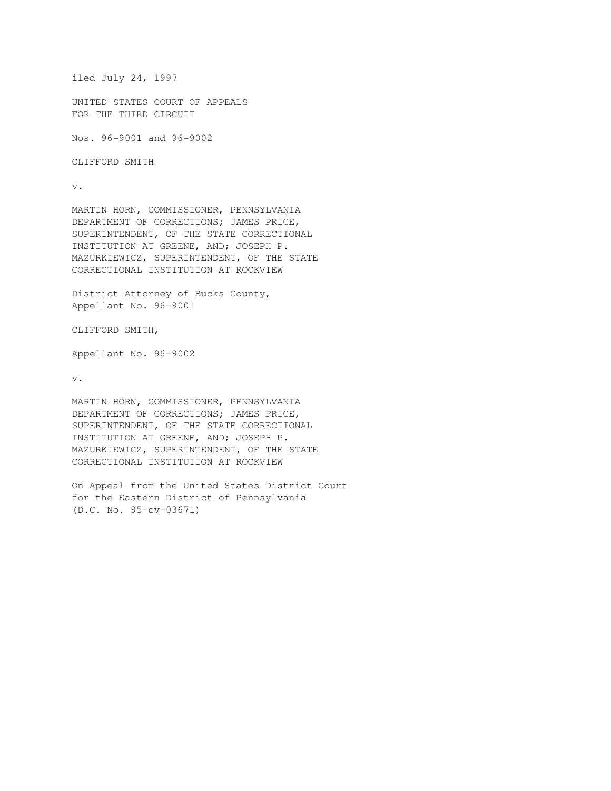```
iled July 24, 1997
```
UNITED STATES COURT OF APPEALS FOR THE THIRD CIRCUIT

Nos. 96-9001 and 96-9002

CLIFFORD SMITH

v.

MARTIN HORN, COMMISSIONER, PENNSYLVANIA DEPARTMENT OF CORRECTIONS; JAMES PRICE, SUPERINTENDENT, OF THE STATE CORRECTIONAL INSTITUTION AT GREENE, AND; JOSEPH P. MAZURKIEWICZ, SUPERINTENDENT, OF THE STATE CORRECTIONAL INSTITUTION AT ROCKVIEW

District Attorney of Bucks County, Appellant No. 96-9001

CLIFFORD SMITH,

Appellant No. 96-9002

v.

MARTIN HORN, COMMISSIONER, PENNSYLVANIA DEPARTMENT OF CORRECTIONS; JAMES PRICE, SUPERINTENDENT, OF THE STATE CORRECTIONAL INSTITUTION AT GREENE, AND; JOSEPH P. MAZURKIEWICZ, SUPERINTENDENT, OF THE STATE CORRECTIONAL INSTITUTION AT ROCKVIEW

On Appeal from the United States District Court for the Eastern District of Pennsylvania (D.C. No. 95-cv-03671)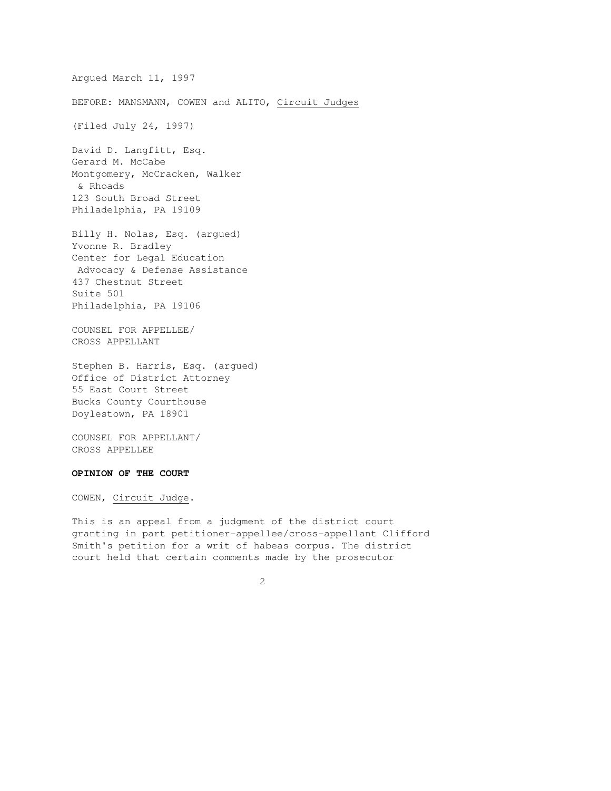Argued March 11, 1997 BEFORE: MANSMANN, COWEN and ALITO, Circuit Judges (Filed July 24, 1997) David D. Langfitt, Esq. Gerard M. McCabe Montgomery, McCracken, Walker & Rhoads 123 South Broad Street Philadelphia, PA 19109 Billy H. Nolas, Esq. (argued) Yvonne R. Bradley Center for Legal Education Advocacy & Defense Assistance 437 Chestnut Street Suite 501 Philadelphia, PA 19106

COUNSEL FOR APPELLEE/ CROSS APPELLANT

Stephen B. Harris, Esq. (argued) Office of District Attorney 55 East Court Street Bucks County Courthouse Doylestown, PA 18901

2

COUNSEL FOR APPELLANT/ CROSS APPELLEE

# **OPINION OF THE COURT**

COWEN, Circuit Judge.

This is an appeal from a judgment of the district court granting in part petitioner-appellee/cross-appellant Clifford Smith's petition for a writ of habeas corpus. The district court held that certain comments made by the prosecutor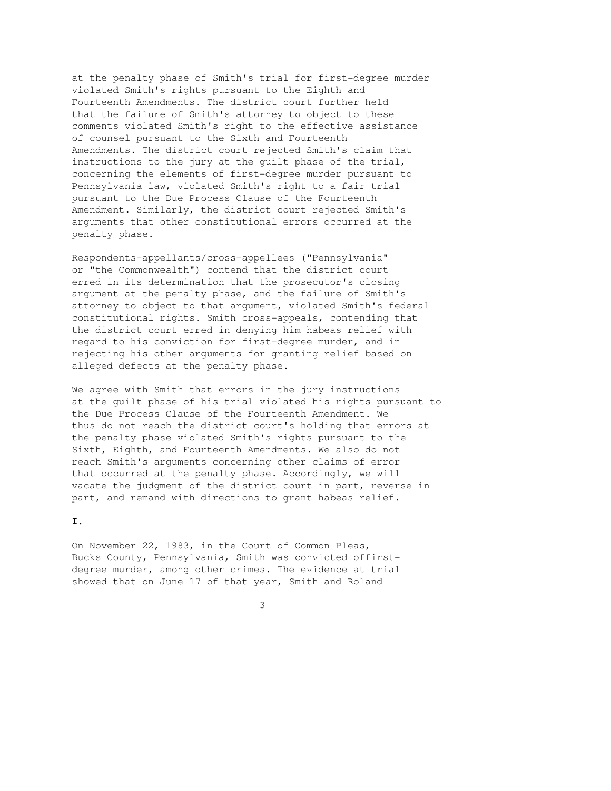at the penalty phase of Smith's trial for first-degree murder violated Smith's rights pursuant to the Eighth and Fourteenth Amendments. The district court further held that the failure of Smith's attorney to object to these comments violated Smith's right to the effective assistance of counsel pursuant to the Sixth and Fourteenth Amendments. The district court rejected Smith's claim that instructions to the jury at the guilt phase of the trial, concerning the elements of first-degree murder pursuant to Pennsylvania law, violated Smith's right to a fair trial pursuant to the Due Process Clause of the Fourteenth Amendment. Similarly, the district court rejected Smith's arguments that other constitutional errors occurred at the penalty phase.

Respondents-appellants/cross-appellees ("Pennsylvania" or "the Commonwealth") contend that the district court erred in its determination that the prosecutor's closing argument at the penalty phase, and the failure of Smith's attorney to object to that argument, violated Smith's federal constitutional rights. Smith cross-appeals, contending that the district court erred in denying him habeas relief with regard to his conviction for first-degree murder, and in rejecting his other arguments for granting relief based on alleged defects at the penalty phase.

We agree with Smith that errors in the jury instructions at the guilt phase of his trial violated his rights pursuant to the Due Process Clause of the Fourteenth Amendment. We thus do not reach the district court's holding that errors at the penalty phase violated Smith's rights pursuant to the Sixth, Eighth, and Fourteenth Amendments. We also do not reach Smith's arguments concerning other claims of error that occurred at the penalty phase. Accordingly, we will vacate the judgment of the district court in part, reverse in part, and remand with directions to grant habeas relief.

#### **I.**

On November 22, 1983, in the Court of Common Pleas, Bucks County, Pennsylvania, Smith was convicted offirstdegree murder, among other crimes. The evidence at trial showed that on June 17 of that year, Smith and Roland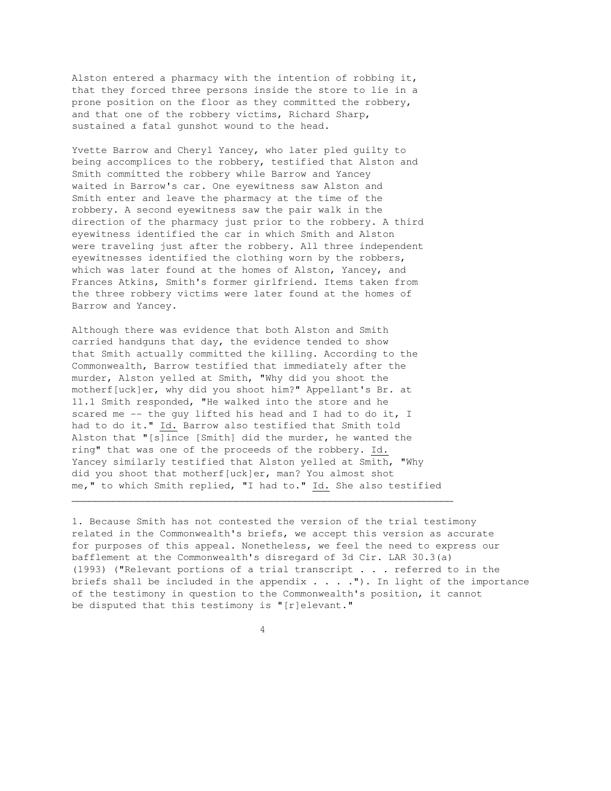Alston entered a pharmacy with the intention of robbing it, that they forced three persons inside the store to lie in a prone position on the floor as they committed the robbery, and that one of the robbery victims, Richard Sharp, sustained a fatal gunshot wound to the head.

Yvette Barrow and Cheryl Yancey, who later pled guilty to being accomplices to the robbery, testified that Alston and Smith committed the robbery while Barrow and Yancey waited in Barrow's car. One eyewitness saw Alston and Smith enter and leave the pharmacy at the time of the robbery. A second eyewitness saw the pair walk in the direction of the pharmacy just prior to the robbery. A third eyewitness identified the car in which Smith and Alston were traveling just after the robbery. All three independent eyewitnesses identified the clothing worn by the robbers, which was later found at the homes of Alston, Yancey, and Frances Atkins, Smith's former girlfriend. Items taken from the three robbery victims were later found at the homes of Barrow and Yancey.

Although there was evidence that both Alston and Smith carried handguns that day, the evidence tended to show that Smith actually committed the killing. According to the Commonwealth, Barrow testified that immediately after the murder, Alston yelled at Smith, "Why did you shoot the motherf[uck]er, why did you shoot him?" Appellant's Br. at 11.1 Smith responded, "He walked into the store and he scared me -- the guy lifted his head and I had to do it, I had to do it." Id. Barrow also testified that Smith told Alston that "[s]ince [Smith] did the murder, he wanted the ring" that was one of the proceeds of the robbery. Id. Yancey similarly testified that Alston yelled at Smith, "Why did you shoot that motherf[uck]er, man? You almost shot me," to which Smith replied, "I had to." Id. She also testified

 $\overline{\phantom{a}}$  , and the contribution of the contribution of the contribution of the contribution of the contribution of the contribution of the contribution of the contribution of the contribution of the contribution of the

1. Because Smith has not contested the version of the trial testimony related in the Commonwealth's briefs, we accept this version as accurate for purposes of this appeal. Nonetheless, we feel the need to express our bafflement at the Commonwealth's disregard of 3d Cir. LAR 30.3(a) (1993) ("Relevant portions of a trial transcript . . . referred to in the briefs shall be included in the appendix  $\ldots$ . ..."). In light of the importance of the testimony in question to the Commonwealth's position, it cannot be disputed that this testimony is "[r]elevant."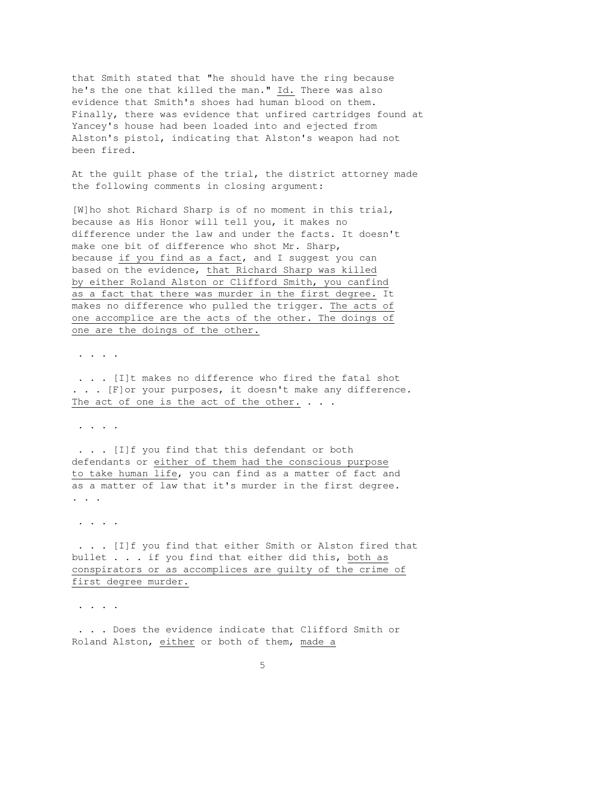that Smith stated that "he should have the ring because he's the one that killed the man." Id. There was also evidence that Smith's shoes had human blood on them. Finally, there was evidence that unfired cartridges found at Yancey's house had been loaded into and ejected from Alston's pistol, indicating that Alston's weapon had not been fired.

At the guilt phase of the trial, the district attorney made the following comments in closing argument:

[W]ho shot Richard Sharp is of no moment in this trial, because as His Honor will tell you, it makes no difference under the law and under the facts. It doesn't make one bit of difference who shot Mr. Sharp, because if you find as a fact, and I suggest you can based on the evidence, that Richard Sharp was killed by either Roland Alston or Clifford Smith, you canfind as a fact that there was murder in the first degree. It makes no difference who pulled the trigger. The acts of one accomplice are the acts of the other. The doings of one are the doings of the other.

. . . .

 . . . [I]t makes no difference who fired the fatal shot ... [F]or your purposes, it doesn't make any difference. The act of one is the act of the other.  $\ldots$ 

. . . .

 . . . [I]f you find that this defendant or both defendants or either of them had the conscious purpose to take human life, you can find as a matter of fact and as a matter of law that it's murder in the first degree. . . .

. . . .

 . . . [I]f you find that either Smith or Alston fired that bullet . . . if you find that either did this, both as conspirators or as accomplices are guilty of the crime of first degree murder.

. . . .

 . . . Does the evidence indicate that Clifford Smith or Roland Alston, either or both of them, made a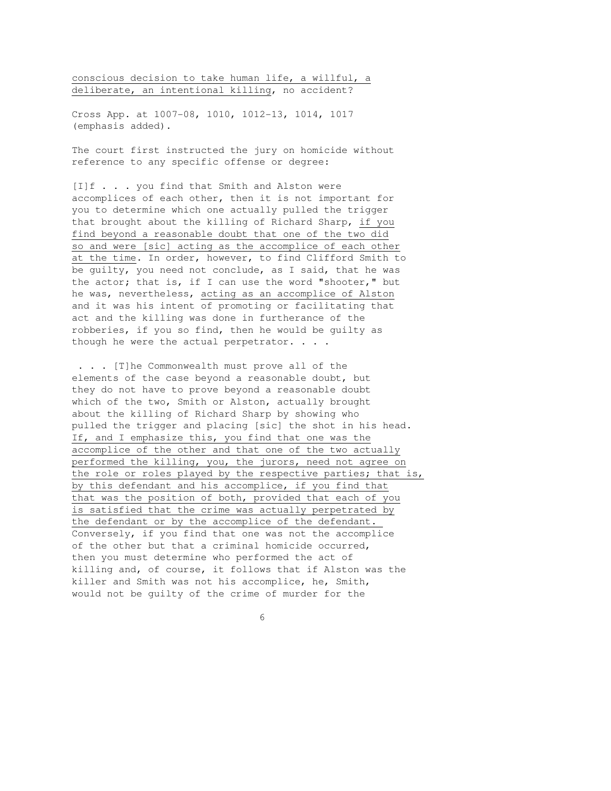conscious decision to take human life, a willful, a deliberate, an intentional killing, no accident?

Cross App. at 1007-08, 1010, 1012-13, 1014, 1017 (emphasis added).

The court first instructed the jury on homicide without reference to any specific offense or degree:

[I]f . . . you find that Smith and Alston were accomplices of each other, then it is not important for you to determine which one actually pulled the trigger that brought about the killing of Richard Sharp, if you find beyond a reasonable doubt that one of the two did so and were [sic] acting as the accomplice of each other at the time. In order, however, to find Clifford Smith to be guilty, you need not conclude, as I said, that he was the actor; that is, if I can use the word "shooter," but he was, nevertheless, acting as an accomplice of Alston and it was his intent of promoting or facilitating that act and the killing was done in furtherance of the robberies, if you so find, then he would be guilty as though he were the actual perpetrator. . . .

 . . . [T]he Commonwealth must prove all of the elements of the case beyond a reasonable doubt, but they do not have to prove beyond a reasonable doubt which of the two, Smith or Alston, actually brought about the killing of Richard Sharp by showing who pulled the trigger and placing [sic] the shot in his head. If, and I emphasize this, you find that one was the accomplice of the other and that one of the two actually performed the killing, you, the jurors, need not agree on the role or roles played by the respective parties; that is, by this defendant and his accomplice, if you find that that was the position of both, provided that each of you is satisfied that the crime was actually perpetrated by the defendant or by the accomplice of the defendant. Conversely, if you find that one was not the accomplice of the other but that a criminal homicide occurred, then you must determine who performed the act of killing and, of course, it follows that if Alston was the killer and Smith was not his accomplice, he, Smith, would not be guilty of the crime of murder for the

 $\overline{6}$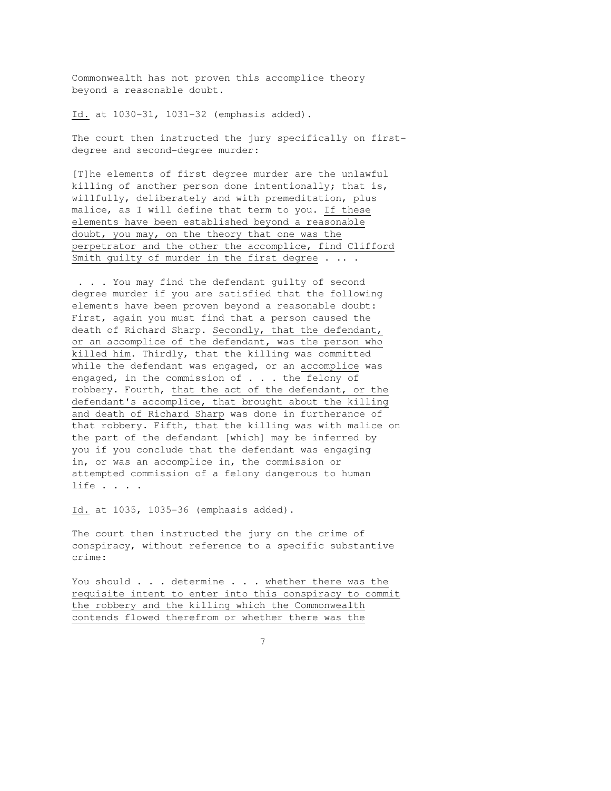Commonwealth has not proven this accomplice theory beyond a reasonable doubt.

Id. at 1030-31, 1031-32 (emphasis added).

The court then instructed the jury specifically on firstdegree and second-degree murder:

[T]he elements of first degree murder are the unlawful killing of another person done intentionally; that is, willfully, deliberately and with premeditation, plus malice, as I will define that term to you. If these elements have been established beyond a reasonable doubt, you may, on the theory that one was the perpetrator and the other the accomplice, find Clifford Smith guilty of murder in the first degree . .. .

 . . . You may find the defendant guilty of second degree murder if you are satisfied that the following elements have been proven beyond a reasonable doubt: First, again you must find that a person caused the death of Richard Sharp. Secondly, that the defendant, or an accomplice of the defendant, was the person who killed him. Thirdly, that the killing was committed while the defendant was engaged, or an accomplice was engaged, in the commission of . . . the felony of robbery. Fourth, that the act of the defendant, or the defendant's accomplice, that brought about the killing and death of Richard Sharp was done in furtherance of that robbery. Fifth, that the killing was with malice on the part of the defendant [which] may be inferred by you if you conclude that the defendant was engaging in, or was an accomplice in, the commission or attempted commission of a felony dangerous to human life . . . .

Id. at 1035, 1035-36 (emphasis added).

The court then instructed the jury on the crime of conspiracy, without reference to a specific substantive crime:

You should . . . determine . . . whether there was the requisite intent to enter into this conspiracy to commit the robbery and the killing which the Commonwealth contends flowed therefrom or whether there was the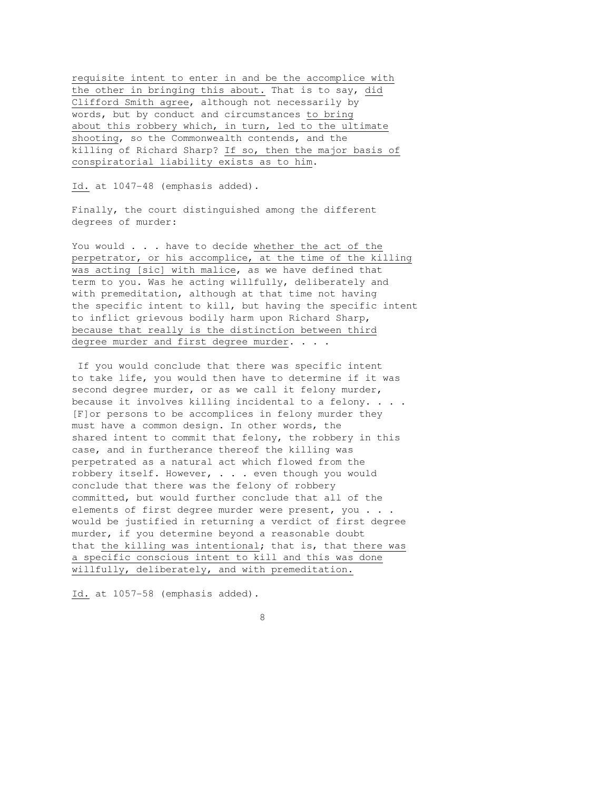requisite intent to enter in and be the accomplice with the other in bringing this about. That is to say, did Clifford Smith agree, although not necessarily by words, but by conduct and circumstances to bring about this robbery which, in turn, led to the ultimate shooting, so the Commonwealth contends, and the killing of Richard Sharp? If so, then the major basis of conspiratorial liability exists as to him.

Id. at 1047-48 (emphasis added).

Finally, the court distinguished among the different degrees of murder:

You would . . . have to decide whether the act of the perpetrator, or his accomplice, at the time of the killing was acting [sic] with malice, as we have defined that term to you. Was he acting willfully, deliberately and with premeditation, although at that time not having the specific intent to kill, but having the specific intent to inflict grievous bodily harm upon Richard Sharp, because that really is the distinction between third degree murder and first degree murder. . . .

 If you would conclude that there was specific intent to take life, you would then have to determine if it was second degree murder, or as we call it felony murder, because it involves killing incidental to a felony. . . . [F]or persons to be accomplices in felony murder they must have a common design. In other words, the shared intent to commit that felony, the robbery in this case, and in furtherance thereof the killing was perpetrated as a natural act which flowed from the robbery itself. However, . . . even though you would conclude that there was the felony of robbery committed, but would further conclude that all of the elements of first degree murder were present, you . . . would be justified in returning a verdict of first degree murder, if you determine beyond a reasonable doubt that the killing was intentional; that is, that there was a specific conscious intent to kill and this was done willfully, deliberately, and with premeditation.

Id. at 1057-58 (emphasis added).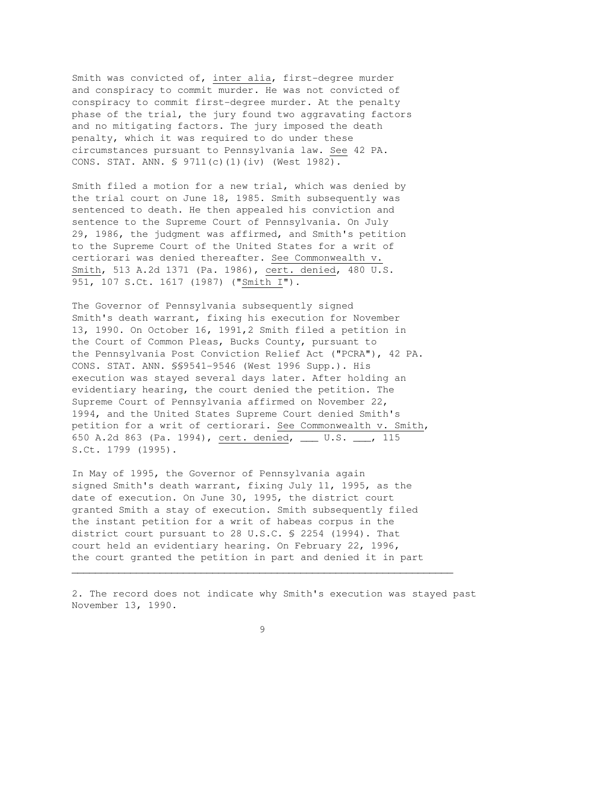Smith was convicted of, inter alia, first-degree murder and conspiracy to commit murder. He was not convicted of conspiracy to commit first-degree murder. At the penalty phase of the trial, the jury found two aggravating factors and no mitigating factors. The jury imposed the death penalty, which it was required to do under these circumstances pursuant to Pennsylvania law. See 42 PA. CONS. STAT. ANN. § 9711(c)(1)(iv) (West 1982).

Smith filed a motion for a new trial, which was denied by the trial court on June 18, 1985. Smith subsequently was sentenced to death. He then appealed his conviction and sentence to the Supreme Court of Pennsylvania. On July 29, 1986, the judgment was affirmed, and Smith's petition to the Supreme Court of the United States for a writ of certiorari was denied thereafter. See Commonwealth v. Smith, 513 A.2d 1371 (Pa. 1986), cert. denied, 480 U.S. 951, 107 S.Ct. 1617 (1987) ("Smith I").

The Governor of Pennsylvania subsequently signed Smith's death warrant, fixing his execution for November 13, 1990. On October 16, 1991,2 Smith filed a petition in the Court of Common Pleas, Bucks County, pursuant to the Pennsylvania Post Conviction Relief Act ("PCRA"), 42 PA. CONS. STAT. ANN. §§9541-9546 (West 1996 Supp.). His execution was stayed several days later. After holding an evidentiary hearing, the court denied the petition. The Supreme Court of Pennsylvania affirmed on November 22, 1994, and the United States Supreme Court denied Smith's petition for a writ of certiorari. See Commonwealth v. Smith, 650 A.2d 863 (Pa. 1994), cert. denied, \_\_\_ U.S. \_\_\_, 115 S.Ct. 1799 (1995).

In May of 1995, the Governor of Pennsylvania again signed Smith's death warrant, fixing July 11, 1995, as the date of execution. On June 30, 1995, the district court granted Smith a stay of execution. Smith subsequently filed the instant petition for a writ of habeas corpus in the district court pursuant to 28 U.S.C. § 2254 (1994). That court held an evidentiary hearing. On February 22, 1996, the court granted the petition in part and denied it in part

2. The record does not indicate why Smith's execution was stayed past November 13, 1990.

\_\_\_\_\_\_\_\_\_\_\_\_\_\_\_\_\_\_\_\_\_\_\_\_\_\_\_\_\_\_\_\_\_\_\_\_\_\_\_\_\_\_\_\_\_\_\_\_\_\_\_\_\_\_\_\_\_\_\_\_\_\_\_\_\_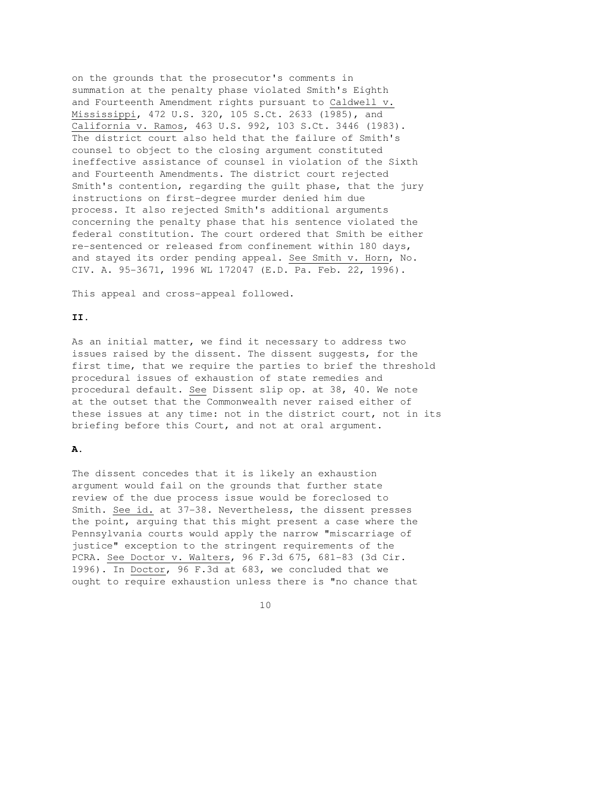on the grounds that the prosecutor's comments in summation at the penalty phase violated Smith's Eighth and Fourteenth Amendment rights pursuant to Caldwell v. Mississippi, 472 U.S. 320, 105 S.Ct. 2633 (1985), and California v. Ramos, 463 U.S. 992, 103 S.Ct. 3446 (1983). The district court also held that the failure of Smith's counsel to object to the closing argument constituted ineffective assistance of counsel in violation of the Sixth and Fourteenth Amendments. The district court rejected Smith's contention, regarding the guilt phase, that the jury instructions on first-degree murder denied him due process. It also rejected Smith's additional arguments concerning the penalty phase that his sentence violated the federal constitution. The court ordered that Smith be either re-sentenced or released from confinement within 180 days, and stayed its order pending appeal. See Smith v. Horn, No. CIV. A. 95-3671, 1996 WL 172047 (E.D. Pa. Feb. 22, 1996).

This appeal and cross-appeal followed.

## **II.**

As an initial matter, we find it necessary to address two issues raised by the dissent. The dissent suggests, for the first time, that we require the parties to brief the threshold procedural issues of exhaustion of state remedies and procedural default. See Dissent slip op. at 38, 40. We note at the outset that the Commonwealth never raised either of these issues at any time: not in the district court, not in its briefing before this Court, and not at oral argument.

## **A.**

The dissent concedes that it is likely an exhaustion argument would fail on the grounds that further state review of the due process issue would be foreclosed to Smith. See id. at 37-38. Nevertheless, the dissent presses the point, arguing that this might present a case where the Pennsylvania courts would apply the narrow "miscarriage of justice" exception to the stringent requirements of the PCRA. See Doctor v. Walters, 96 F.3d 675, 681-83 (3d Cir. 1996). In Doctor, 96 F.3d at 683, we concluded that we ought to require exhaustion unless there is "no chance that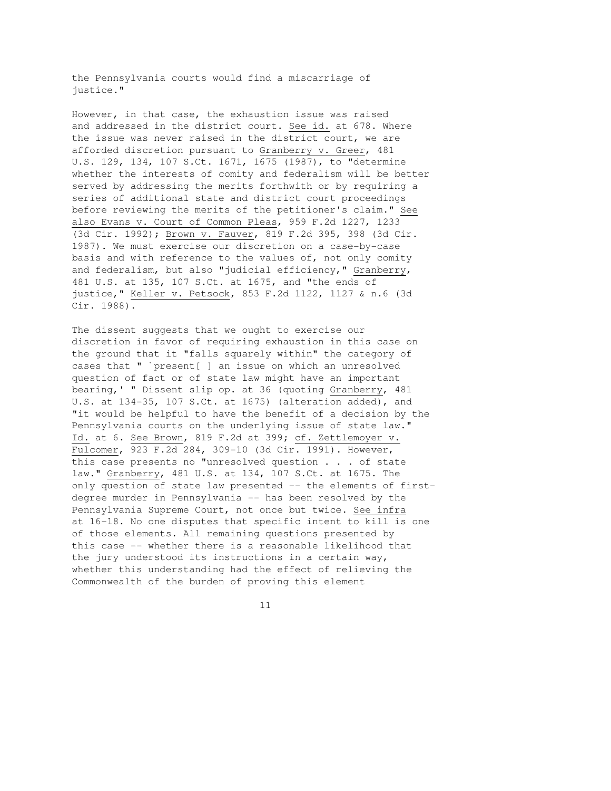the Pennsylvania courts would find a miscarriage of justice."

However, in that case, the exhaustion issue was raised and addressed in the district court. See id. at 678. Where the issue was never raised in the district court, we are afforded discretion pursuant to Granberry v. Greer, 481 U.S. 129, 134, 107 S.Ct. 1671, 1675 (1987), to "determine whether the interests of comity and federalism will be better served by addressing the merits forthwith or by requiring a series of additional state and district court proceedings before reviewing the merits of the petitioner's claim." See also Evans v. Court of Common Pleas, 959 F.2d 1227, 1233 (3d Cir. 1992); Brown v. Fauver, 819 F.2d 395, 398 (3d Cir. 1987). We must exercise our discretion on a case-by-case basis and with reference to the values of, not only comity and federalism, but also "judicial efficiency," Granberry, 481 U.S. at 135, 107 S.Ct. at 1675, and "the ends of justice," Keller v. Petsock, 853 F.2d 1122, 1127 & n.6 (3d Cir. 1988).

The dissent suggests that we ought to exercise our discretion in favor of requiring exhaustion in this case on the ground that it "falls squarely within" the category of cases that " `present[ ] an issue on which an unresolved question of fact or of state law might have an important bearing,' " Dissent slip op. at 36 (quoting Granberry, 481 U.S. at 134-35, 107 S.Ct. at 1675) (alteration added), and "it would be helpful to have the benefit of a decision by the Pennsylvania courts on the underlying issue of state law." Id. at 6. See Brown, 819 F.2d at 399; cf. Zettlemoyer v. Fulcomer, 923 F.2d 284, 309-10 (3d Cir. 1991). However, this case presents no "unresolved question . . . of state law." Granberry, 481 U.S. at 134, 107 S.Ct. at 1675. The only question of state law presented -- the elements of firstdegree murder in Pennsylvania -- has been resolved by the Pennsylvania Supreme Court, not once but twice. See infra at 16-18. No one disputes that specific intent to kill is one of those elements. All remaining questions presented by this case -- whether there is a reasonable likelihood that the jury understood its instructions in a certain way, whether this understanding had the effect of relieving the Commonwealth of the burden of proving this element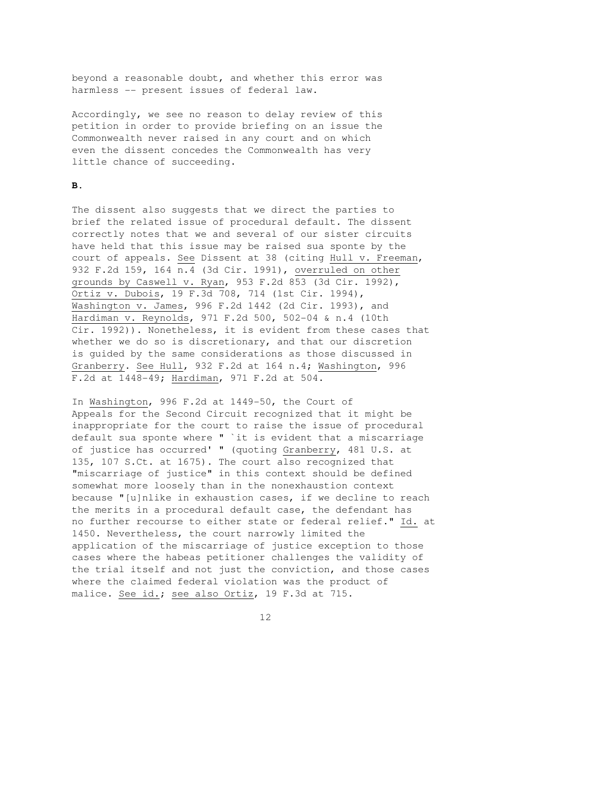beyond a reasonable doubt, and whether this error was harmless -- present issues of federal law.

Accordingly, we see no reason to delay review of this petition in order to provide briefing on an issue the Commonwealth never raised in any court and on which even the dissent concedes the Commonwealth has very little chance of succeeding.

# **B.**

The dissent also suggests that we direct the parties to brief the related issue of procedural default. The dissent correctly notes that we and several of our sister circuits have held that this issue may be raised sua sponte by the court of appeals. See Dissent at 38 (citing Hull v. Freeman, 932 F.2d 159, 164 n.4 (3d Cir. 1991), overruled on other grounds by Caswell v. Ryan, 953 F.2d 853 (3d Cir. 1992), Ortiz v. Dubois, 19 F.3d 708, 714 (1st Cir. 1994), Washington v. James, 996 F.2d 1442 (2d Cir. 1993), and Hardiman v. Reynolds, 971 F.2d 500, 502-04 & n.4 (10th Cir. 1992)). Nonetheless, it is evident from these cases that whether we do so is discretionary, and that our discretion is guided by the same considerations as those discussed in Granberry. See Hull, 932 F.2d at 164 n.4; Washington, 996 F.2d at 1448-49; Hardiman, 971 F.2d at 504.

In Washington, 996 F.2d at 1449-50, the Court of Appeals for the Second Circuit recognized that it might be inappropriate for the court to raise the issue of procedural default sua sponte where " `it is evident that a miscarriage of justice has occurred' " (quoting Granberry, 481 U.S. at 135, 107 S.Ct. at 1675). The court also recognized that "miscarriage of justice" in this context should be defined somewhat more loosely than in the nonexhaustion context because "[u]nlike in exhaustion cases, if we decline to reach the merits in a procedural default case, the defendant has no further recourse to either state or federal relief." Id. at 1450. Nevertheless, the court narrowly limited the application of the miscarriage of justice exception to those cases where the habeas petitioner challenges the validity of the trial itself and not just the conviction, and those cases where the claimed federal violation was the product of malice. See id.; see also Ortiz, 19 F.3d at 715.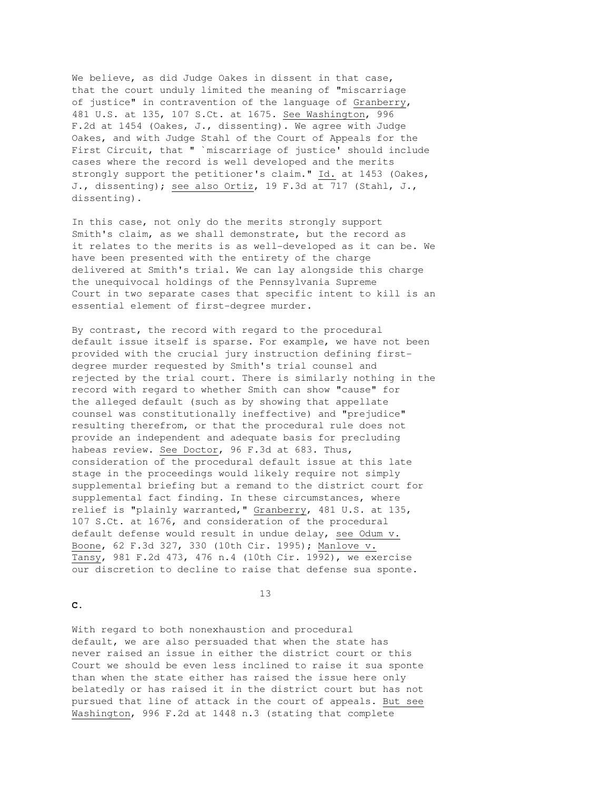We believe, as did Judge Oakes in dissent in that case, that the court unduly limited the meaning of "miscarriage of justice" in contravention of the language of Granberry, 481 U.S. at 135, 107 S.Ct. at 1675. See Washington, 996 F.2d at 1454 (Oakes, J., dissenting). We agree with Judge Oakes, and with Judge Stahl of the Court of Appeals for the First Circuit, that " `miscarriage of justice' should include cases where the record is well developed and the merits strongly support the petitioner's claim." Id. at 1453 (Oakes, J., dissenting); see also Ortiz, 19 F.3d at 717 (Stahl, J., dissenting).

In this case, not only do the merits strongly support Smith's claim, as we shall demonstrate, but the record as it relates to the merits is as well-developed as it can be. We have been presented with the entirety of the charge delivered at Smith's trial. We can lay alongside this charge the unequivocal holdings of the Pennsylvania Supreme Court in two separate cases that specific intent to kill is an essential element of first-degree murder.

By contrast, the record with regard to the procedural default issue itself is sparse. For example, we have not been provided with the crucial jury instruction defining firstdegree murder requested by Smith's trial counsel and rejected by the trial court. There is similarly nothing in the record with regard to whether Smith can show "cause" for the alleged default (such as by showing that appellate counsel was constitutionally ineffective) and "prejudice" resulting therefrom, or that the procedural rule does not provide an independent and adequate basis for precluding habeas review. See Doctor, 96 F.3d at 683. Thus, consideration of the procedural default issue at this late stage in the proceedings would likely require not simply supplemental briefing but a remand to the district court for supplemental fact finding. In these circumstances, where relief is "plainly warranted," Granberry, 481 U.S. at 135, 107 S.Ct. at 1676, and consideration of the procedural default defense would result in undue delay, see Odum v. Boone, 62 F.3d 327, 330 (10th Cir. 1995); Manlove v. Tansy, 981 F.2d 473, 476 n.4 (10th Cir. 1992), we exercise our discretion to decline to raise that defense sua sponte.

13

**C.**

With regard to both nonexhaustion and procedural default, we are also persuaded that when the state has never raised an issue in either the district court or this Court we should be even less inclined to raise it sua sponte than when the state either has raised the issue here only belatedly or has raised it in the district court but has not pursued that line of attack in the court of appeals. But see Washington, 996 F.2d at 1448 n.3 (stating that complete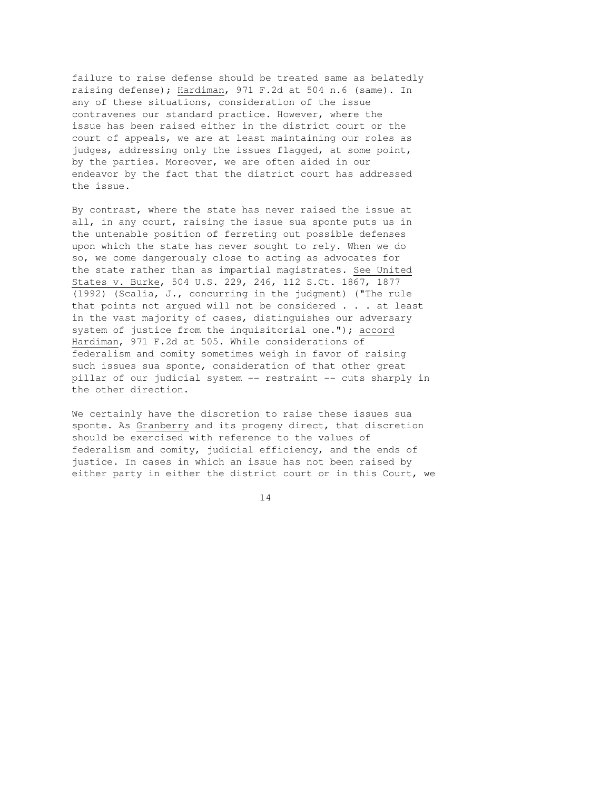failure to raise defense should be treated same as belatedly raising defense); Hardiman, 971 F.2d at 504 n.6 (same). In any of these situations, consideration of the issue contravenes our standard practice. However, where the issue has been raised either in the district court or the court of appeals, we are at least maintaining our roles as judges, addressing only the issues flagged, at some point, by the parties. Moreover, we are often aided in our endeavor by the fact that the district court has addressed the issue.

By contrast, where the state has never raised the issue at all, in any court, raising the issue sua sponte puts us in the untenable position of ferreting out possible defenses upon which the state has never sought to rely. When we do so, we come dangerously close to acting as advocates for the state rather than as impartial magistrates. See United States v. Burke, 504 U.S. 229, 246, 112 S.Ct. 1867, 1877 (1992) (Scalia, J., concurring in the judgment) ("The rule that points not argued will not be considered . . . at least in the vast majority of cases, distinguishes our adversary system of justice from the inquisitorial one."); accord Hardiman, 971 F.2d at 505. While considerations of federalism and comity sometimes weigh in favor of raising such issues sua sponte, consideration of that other great pillar of our judicial system -- restraint -- cuts sharply in the other direction.

We certainly have the discretion to raise these issues sua sponte. As Granberry and its progeny direct, that discretion should be exercised with reference to the values of federalism and comity, judicial efficiency, and the ends of justice. In cases in which an issue has not been raised by either party in either the district court or in this Court, we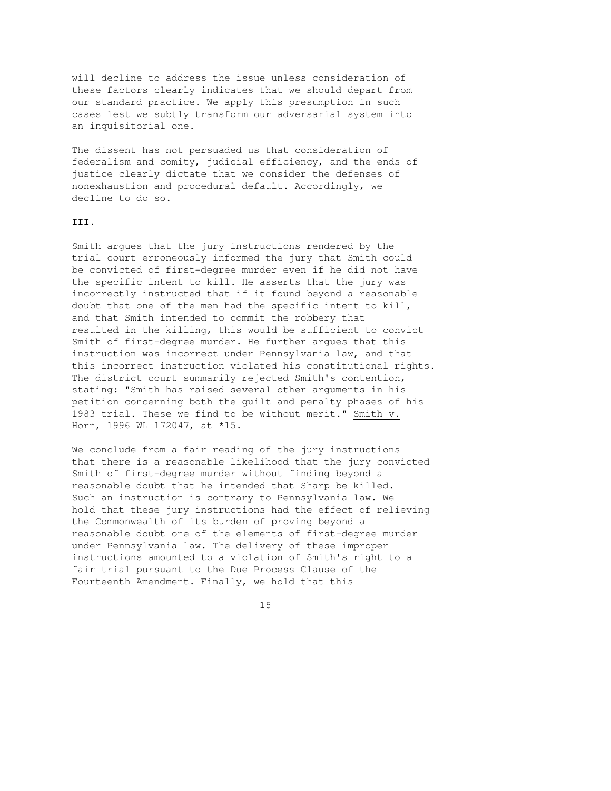will decline to address the issue unless consideration of these factors clearly indicates that we should depart from our standard practice. We apply this presumption in such cases lest we subtly transform our adversarial system into an inquisitorial one.

The dissent has not persuaded us that consideration of federalism and comity, judicial efficiency, and the ends of justice clearly dictate that we consider the defenses of nonexhaustion and procedural default. Accordingly, we decline to do so.

### **III.**

Smith argues that the jury instructions rendered by the trial court erroneously informed the jury that Smith could be convicted of first-degree murder even if he did not have the specific intent to kill. He asserts that the jury was incorrectly instructed that if it found beyond a reasonable doubt that one of the men had the specific intent to kill, and that Smith intended to commit the robbery that resulted in the killing, this would be sufficient to convict Smith of first-degree murder. He further argues that this instruction was incorrect under Pennsylvania law, and that this incorrect instruction violated his constitutional rights. The district court summarily rejected Smith's contention, stating: "Smith has raised several other arguments in his petition concerning both the guilt and penalty phases of his 1983 trial. These we find to be without merit." Smith v. Horn, 1996 WL 172047, at \*15.

We conclude from a fair reading of the jury instructions that there is a reasonable likelihood that the jury convicted Smith of first-degree murder without finding beyond a reasonable doubt that he intended that Sharp be killed. Such an instruction is contrary to Pennsylvania law. We hold that these jury instructions had the effect of relieving the Commonwealth of its burden of proving beyond a reasonable doubt one of the elements of first-degree murder under Pennsylvania law. The delivery of these improper instructions amounted to a violation of Smith's right to a fair trial pursuant to the Due Process Clause of the Fourteenth Amendment. Finally, we hold that this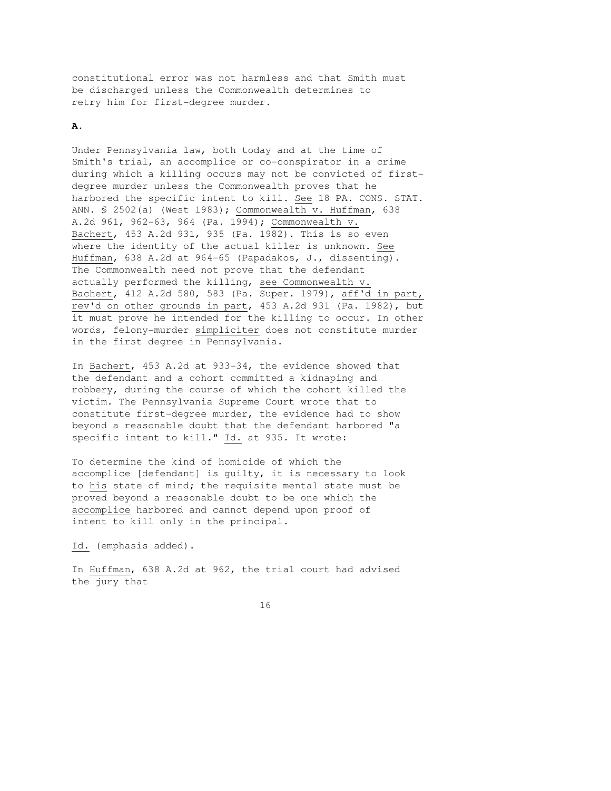constitutional error was not harmless and that Smith must be discharged unless the Commonwealth determines to retry him for first-degree murder.

#### **A.**

Under Pennsylvania law, both today and at the time of Smith's trial, an accomplice or co-conspirator in a crime during which a killing occurs may not be convicted of firstdegree murder unless the Commonwealth proves that he harbored the specific intent to kill. See 18 PA. CONS. STAT. ANN. § 2502(a) (West 1983); Commonwealth v. Huffman, 638 A.2d 961, 962-63, 964 (Pa. 1994); Commonwealth v. Bachert, 453 A.2d 931, 935 (Pa. 1982). This is so even where the identity of the actual killer is unknown. See Huffman, 638 A.2d at 964-65 (Papadakos, J., dissenting). The Commonwealth need not prove that the defendant actually performed the killing, see Commonwealth v. Bachert, 412 A.2d 580, 583 (Pa. Super. 1979), aff'd in part, rev'd on other grounds in part, 453 A.2d 931 (Pa. 1982), but it must prove he intended for the killing to occur. In other words, felony-murder simpliciter does not constitute murder in the first degree in Pennsylvania.

In Bachert, 453 A.2d at 933-34, the evidence showed that the defendant and a cohort committed a kidnaping and robbery, during the course of which the cohort killed the victim. The Pennsylvania Supreme Court wrote that to constitute first-degree murder, the evidence had to show beyond a reasonable doubt that the defendant harbored "a specific intent to kill." Id. at 935. It wrote:

To determine the kind of homicide of which the accomplice [defendant] is guilty, it is necessary to look to his state of mind; the requisite mental state must be proved beyond a reasonable doubt to be one which the accomplice harbored and cannot depend upon proof of intent to kill only in the principal.

Id. (emphasis added).

In Huffman, 638 A.2d at 962, the trial court had advised the jury that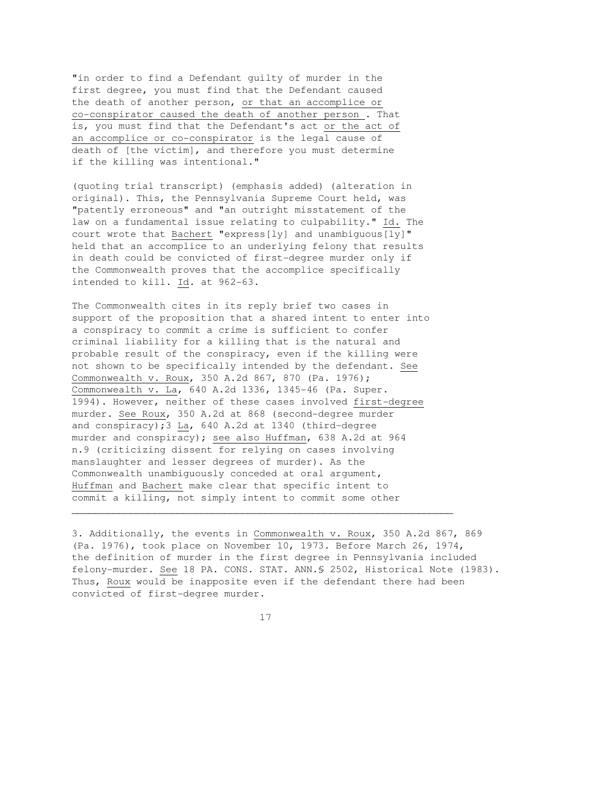"in order to find a Defendant guilty of murder in the first degree, you must find that the Defendant caused the death of another person, or that an accomplice or co-conspirator caused the death of another person . That is, you must find that the Defendant's act or the act of an accomplice or co-conspirator is the legal cause of death of [the victim], and therefore you must determine if the killing was intentional."

(quoting trial transcript) (emphasis added) (alteration in original). This, the Pennsylvania Supreme Court held, was "patently erroneous" and "an outright misstatement of the law on a fundamental issue relating to culpability." Id. The court wrote that Bachert "express[ly] and unambiguous[ly]" held that an accomplice to an underlying felony that results in death could be convicted of first-degree murder only if the Commonwealth proves that the accomplice specifically intended to kill. Id. at 962-63.

The Commonwealth cites in its reply brief two cases in support of the proposition that a shared intent to enter into a conspiracy to commit a crime is sufficient to confer criminal liability for a killing that is the natural and probable result of the conspiracy, even if the killing were not shown to be specifically intended by the defendant. See Commonwealth v. Roux, 350 A.2d 867, 870 (Pa. 1976); Commonwealth v. La, 640 A.2d 1336, 1345-46 (Pa. Super. 1994). However, neither of these cases involved first-degree murder. See Roux, 350 A.2d at 868 (second-degree murder and conspiracy);3 La, 640 A.2d at 1340 (third-degree murder and conspiracy); see also Huffman, 638 A.2d at 964 n.9 (criticizing dissent for relying on cases involving manslaughter and lesser degrees of murder). As the Commonwealth unambiguously conceded at oral argument, Huffman and Bachert make clear that specific intent to commit a killing, not simply intent to commit some other

3. Additionally, the events in Commonwealth v. Roux, 350 A.2d 867, 869 (Pa. 1976), took place on November 10, 1973. Before March 26, 1974, the definition of murder in the first degree in Pennsylvania included felony-murder. See 18 PA. CONS. STAT. ANN.§ 2502, Historical Note (1983). Thus, Roux would be inapposite even if the defendant there had been convicted of first-degree murder.

17

 $\overline{\phantom{a}}$  , and the contribution of the contribution of the contribution of the contribution of the contribution of the contribution of the contribution of the contribution of the contribution of the contribution of the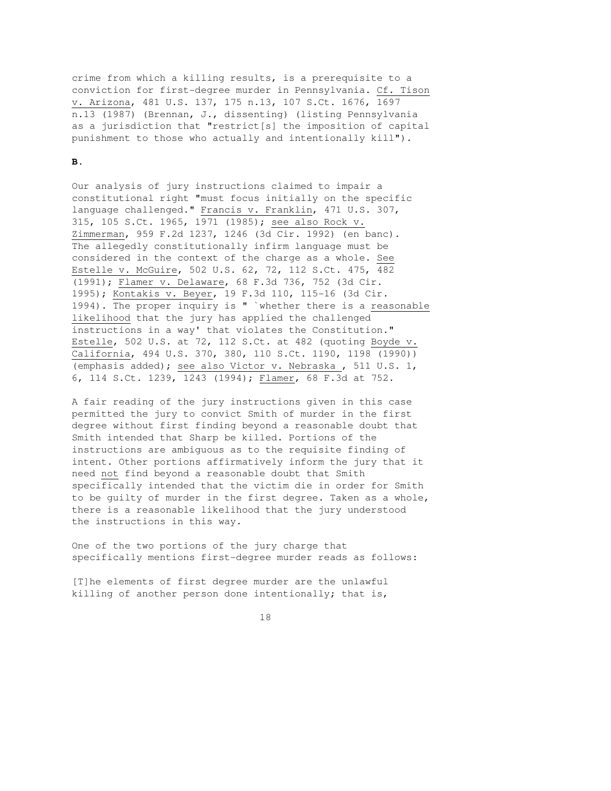crime from which a killing results, is a prerequisite to a conviction for first-degree murder in Pennsylvania. Cf. Tison v. Arizona, 481 U.S. 137, 175 n.13, 107 S.Ct. 1676, 1697 n.13 (1987) (Brennan, J., dissenting) (listing Pennsylvania as a jurisdiction that "restrict[s] the imposition of capital punishment to those who actually and intentionally kill").

#### **B.**

Our analysis of jury instructions claimed to impair a constitutional right "must focus initially on the specific language challenged." Francis v. Franklin, 471 U.S. 307, 315, 105 S.Ct. 1965, 1971 (1985); see also Rock v. Zimmerman, 959 F.2d 1237, 1246 (3d Cir. 1992) (en banc). The allegedly constitutionally infirm language must be considered in the context of the charge as a whole. See Estelle v. McGuire, 502 U.S. 62, 72, 112 S.Ct. 475, 482 (1991); Flamer v. Delaware, 68 F.3d 736, 752 (3d Cir. 1995); Kontakis v. Beyer, 19 F.3d 110, 115-16 (3d Cir. 1994). The proper inquiry is " `whether there is a reasonable likelihood that the jury has applied the challenged instructions in a way' that violates the Constitution." Estelle, 502 U.S. at 72, 112 S.Ct. at 482 (quoting Boyde v. California, 494 U.S. 370, 380, 110 S.Ct. 1190, 1198 (1990)) (emphasis added); see also Victor v. Nebraska , 511 U.S. 1, 6, 114 S.Ct. 1239, 1243 (1994); Flamer, 68 F.3d at 752.

A fair reading of the jury instructions given in this case permitted the jury to convict Smith of murder in the first degree without first finding beyond a reasonable doubt that Smith intended that Sharp be killed. Portions of the instructions are ambiguous as to the requisite finding of intent. Other portions affirmatively inform the jury that it need not find beyond a reasonable doubt that Smith specifically intended that the victim die in order for Smith to be guilty of murder in the first degree. Taken as a whole, there is a reasonable likelihood that the jury understood the instructions in this way.

One of the two portions of the jury charge that specifically mentions first-degree murder reads as follows:

[T]he elements of first degree murder are the unlawful killing of another person done intentionally; that is,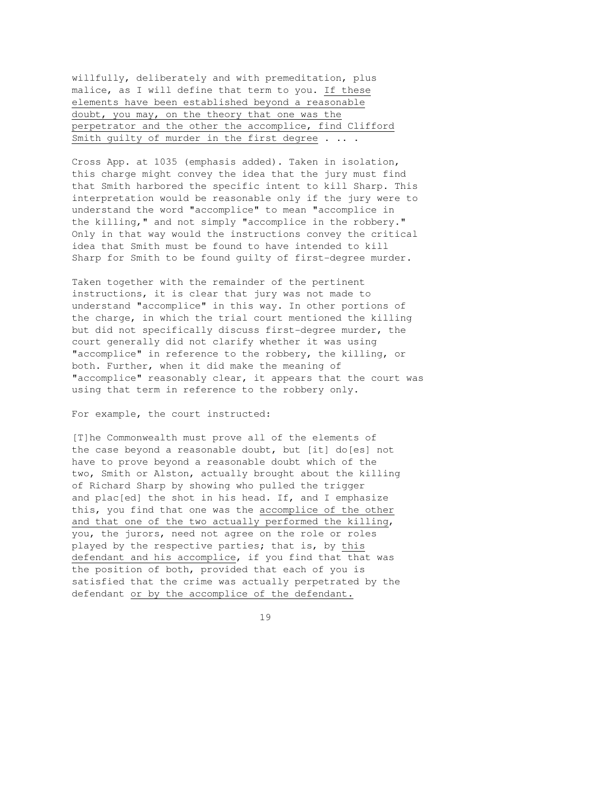willfully, deliberately and with premeditation, plus malice, as I will define that term to you. If these elements have been established beyond a reasonable doubt, you may, on the theory that one was the perpetrator and the other the accomplice, find Clifford Smith guilty of murder in the first degree . .. .

Cross App. at 1035 (emphasis added). Taken in isolation, this charge might convey the idea that the jury must find that Smith harbored the specific intent to kill Sharp. This interpretation would be reasonable only if the jury were to understand the word "accomplice" to mean "accomplice in the killing," and not simply "accomplice in the robbery." Only in that way would the instructions convey the critical idea that Smith must be found to have intended to kill Sharp for Smith to be found guilty of first-degree murder.

Taken together with the remainder of the pertinent instructions, it is clear that jury was not made to understand "accomplice" in this way. In other portions of the charge, in which the trial court mentioned the killing but did not specifically discuss first-degree murder, the court generally did not clarify whether it was using "accomplice" in reference to the robbery, the killing, or both. Further, when it did make the meaning of "accomplice" reasonably clear, it appears that the court was using that term in reference to the robbery only.

For example, the court instructed:

[T]he Commonwealth must prove all of the elements of the case beyond a reasonable doubt, but [it] do[es] not have to prove beyond a reasonable doubt which of the two, Smith or Alston, actually brought about the killing of Richard Sharp by showing who pulled the trigger and plac[ed] the shot in his head. If, and I emphasize this, you find that one was the accomplice of the other and that one of the two actually performed the killing, you, the jurors, need not agree on the role or roles played by the respective parties; that is, by this defendant and his accomplice, if you find that that was the position of both, provided that each of you is satisfied that the crime was actually perpetrated by the defendant or by the accomplice of the defendant.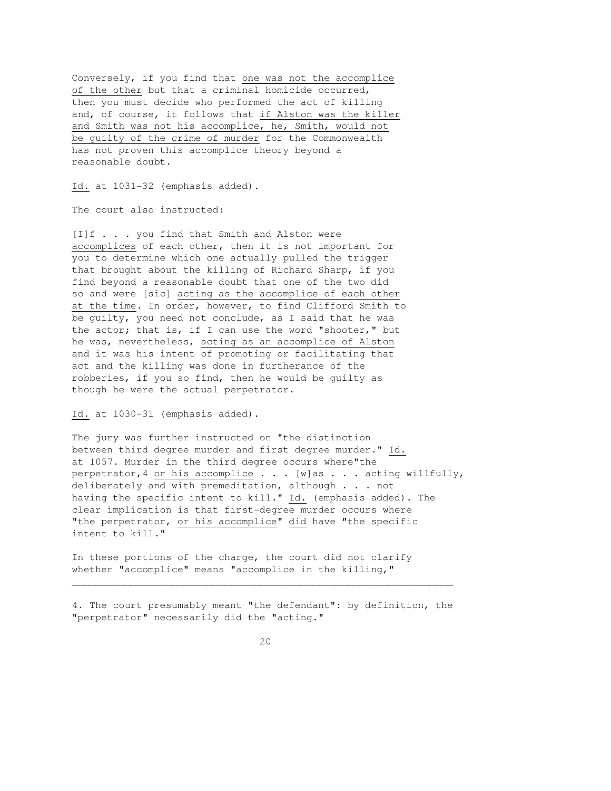Conversely, if you find that one was not the accomplice of the other but that a criminal homicide occurred, then you must decide who performed the act of killing and, of course, it follows that if Alston was the killer and Smith was not his accomplice, he, Smith, would not be guilty of the crime of murder for the Commonwealth has not proven this accomplice theory beyond a reasonable doubt.

Id. at 1031-32 (emphasis added).

The court also instructed:

[I]f . . . you find that Smith and Alston were accomplices of each other, then it is not important for you to determine which one actually pulled the trigger that brought about the killing of Richard Sharp, if you find beyond a reasonable doubt that one of the two did so and were [sic] acting as the accomplice of each other at the time. In order, however, to find Clifford Smith to be guilty, you need not conclude, as I said that he was the actor; that is, if I can use the word "shooter," but he was, nevertheless, acting as an accomplice of Alston and it was his intent of promoting or facilitating that act and the killing was done in furtherance of the robberies, if you so find, then he would be guilty as though he were the actual perpetrator.

Id. at 1030-31 (emphasis added).

The jury was further instructed on "the distinction between third degree murder and first degree murder." Id. at 1057. Murder in the third degree occurs where"the perpetrator, 4 or his accomplice  $\ldots$  . [w] as . . . acting willfully, deliberately and with premeditation, although . . . not having the specific intent to kill." Id. (emphasis added). The clear implication is that first-degree murder occurs where "the perpetrator, or his accomplice" did have "the specific intent to kill."

In these portions of the charge, the court did not clarify whether "accomplice" means "accomplice in the killing,"

4. The court presumably meant "the defendant": by definition, the "perpetrator" necessarily did the "acting."

 $\overline{\phantom{a}}$  , and the contribution of the contribution of the contribution of the contribution of the contribution of the contribution of the contribution of the contribution of the contribution of the contribution of the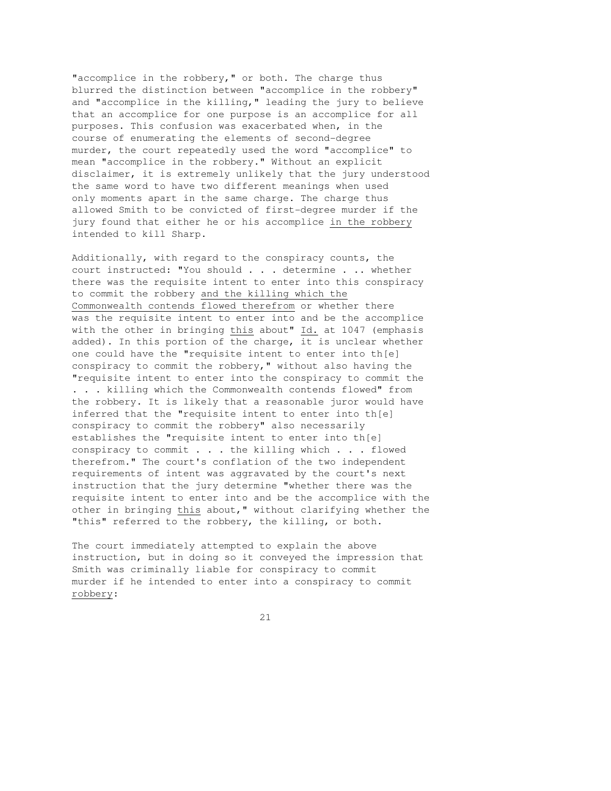"accomplice in the robbery," or both. The charge thus blurred the distinction between "accomplice in the robbery" and "accomplice in the killing," leading the jury to believe that an accomplice for one purpose is an accomplice for all purposes. This confusion was exacerbated when, in the course of enumerating the elements of second-degree murder, the court repeatedly used the word "accomplice" to mean "accomplice in the robbery." Without an explicit disclaimer, it is extremely unlikely that the jury understood the same word to have two different meanings when used only moments apart in the same charge. The charge thus allowed Smith to be convicted of first-degree murder if the jury found that either he or his accomplice in the robbery intended to kill Sharp.

Additionally, with regard to the conspiracy counts, the court instructed: "You should . . . determine . .. whether there was the requisite intent to enter into this conspiracy to commit the robbery and the killing which the Commonwealth contends flowed therefrom or whether there was the requisite intent to enter into and be the accomplice with the other in bringing this about" Id. at 1047 (emphasis added). In this portion of the charge, it is unclear whether one could have the "requisite intent to enter into th[e] conspiracy to commit the robbery," without also having the "requisite intent to enter into the conspiracy to commit the . . . killing which the Commonwealth contends flowed" from the robbery. It is likely that a reasonable juror would have inferred that the "requisite intent to enter into th[e] conspiracy to commit the robbery" also necessarily establishes the "requisite intent to enter into th[e] conspiracy to commit . . . the killing which . . . flowed therefrom." The court's conflation of the two independent requirements of intent was aggravated by the court's next instruction that the jury determine "whether there was the requisite intent to enter into and be the accomplice with the other in bringing this about," without clarifying whether the "this" referred to the robbery, the killing, or both.

The court immediately attempted to explain the above instruction, but in doing so it conveyed the impression that Smith was criminally liable for conspiracy to commit murder if he intended to enter into a conspiracy to commit robbery: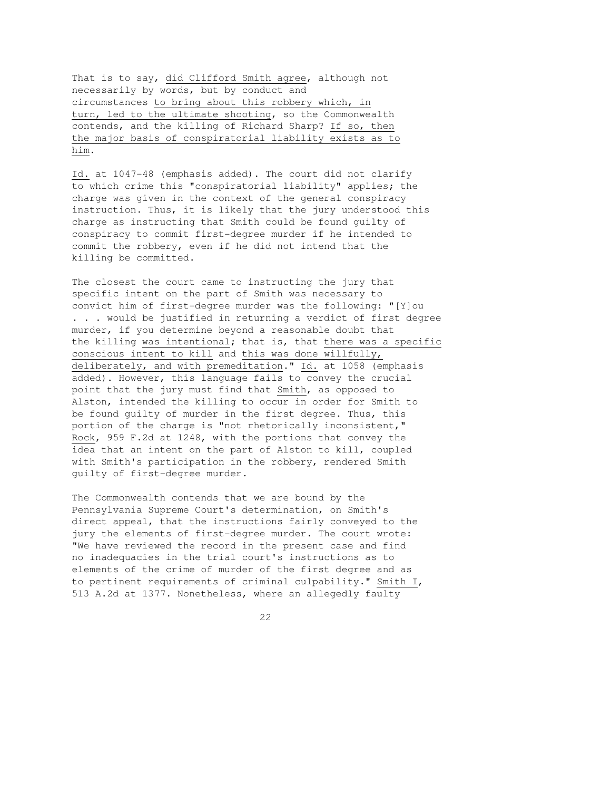That is to say, did Clifford Smith agree, although not necessarily by words, but by conduct and circumstances to bring about this robbery which, in turn, led to the ultimate shooting, so the Commonwealth contends, and the killing of Richard Sharp? If so, then the major basis of conspiratorial liability exists as to him.

Id. at 1047-48 (emphasis added). The court did not clarify to which crime this "conspiratorial liability" applies; the charge was given in the context of the general conspiracy instruction. Thus, it is likely that the jury understood this charge as instructing that Smith could be found guilty of conspiracy to commit first-degree murder if he intended to commit the robbery, even if he did not intend that the killing be committed.

The closest the court came to instructing the jury that specific intent on the part of Smith was necessary to convict him of first-degree murder was the following: "[Y]ou . . . would be justified in returning a verdict of first degree murder, if you determine beyond a reasonable doubt that the killing was intentional; that is, that there was a specific conscious intent to kill and this was done willfully, deliberately, and with premeditation." Id. at 1058 (emphasis added). However, this language fails to convey the crucial point that the jury must find that Smith, as opposed to Alston, intended the killing to occur in order for Smith to be found guilty of murder in the first degree. Thus, this portion of the charge is "not rhetorically inconsistent," Rock, 959 F.2d at 1248, with the portions that convey the idea that an intent on the part of Alston to kill, coupled with Smith's participation in the robbery, rendered Smith guilty of first-degree murder.

The Commonwealth contends that we are bound by the Pennsylvania Supreme Court's determination, on Smith's direct appeal, that the instructions fairly conveyed to the jury the elements of first-degree murder. The court wrote: "We have reviewed the record in the present case and find no inadequacies in the trial court's instructions as to elements of the crime of murder of the first degree and as to pertinent requirements of criminal culpability." Smith I, 513 A.2d at 1377. Nonetheless, where an allegedly faulty

<u>22</u>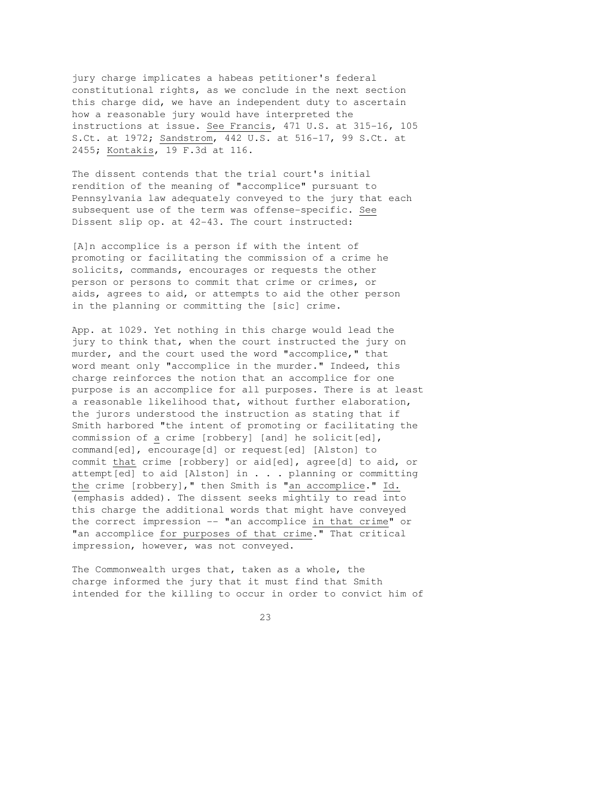jury charge implicates a habeas petitioner's federal constitutional rights, as we conclude in the next section this charge did, we have an independent duty to ascertain how a reasonable jury would have interpreted the instructions at issue. See Francis, 471 U.S. at 315-16, 105 S.Ct. at 1972; Sandstrom, 442 U.S. at 516-17, 99 S.Ct. at 2455; Kontakis, 19 F.3d at 116.

The dissent contends that the trial court's initial rendition of the meaning of "accomplice" pursuant to Pennsylvania law adequately conveyed to the jury that each subsequent use of the term was offense-specific. See Dissent slip op. at 42-43. The court instructed:

[A]n accomplice is a person if with the intent of promoting or facilitating the commission of a crime he solicits, commands, encourages or requests the other person or persons to commit that crime or crimes, or aids, agrees to aid, or attempts to aid the other person in the planning or committing the [sic] crime.

App. at 1029. Yet nothing in this charge would lead the jury to think that, when the court instructed the jury on murder, and the court used the word "accomplice," that word meant only "accomplice in the murder." Indeed, this charge reinforces the notion that an accomplice for one purpose is an accomplice for all purposes. There is at least a reasonable likelihood that, without further elaboration, the jurors understood the instruction as stating that if Smith harbored "the intent of promoting or facilitating the commission of a crime [robbery] [and] he solicit[ed], command[ed], encourage[d] or request[ed] [Alston] to commit that crime [robbery] or aid[ed], agree[d] to aid, or attempt[ed] to aid [Alston] in . . . planning or committing the crime [robbery]," then Smith is "an accomplice." Id. (emphasis added). The dissent seeks mightily to read into this charge the additional words that might have conveyed the correct impression -- "an accomplice in that crime" or "an accomplice for purposes of that crime." That critical impression, however, was not conveyed.

The Commonwealth urges that, taken as a whole, the charge informed the jury that it must find that Smith intended for the killing to occur in order to convict him of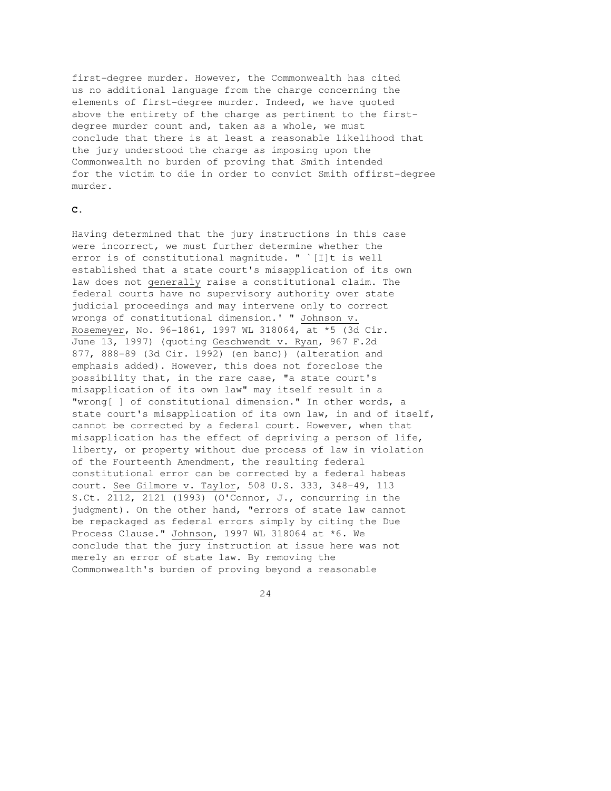first-degree murder. However, the Commonwealth has cited us no additional language from the charge concerning the elements of first-degree murder. Indeed, we have quoted above the entirety of the charge as pertinent to the firstdegree murder count and, taken as a whole, we must conclude that there is at least a reasonable likelihood that the jury understood the charge as imposing upon the Commonwealth no burden of proving that Smith intended for the victim to die in order to convict Smith offirst-degree murder.

# **C.**

Having determined that the jury instructions in this case were incorrect, we must further determine whether the error is of constitutional magnitude. " `[I]t is well established that a state court's misapplication of its own law does not generally raise a constitutional claim. The federal courts have no supervisory authority over state judicial proceedings and may intervene only to correct wrongs of constitutional dimension.' " Johnson v. Rosemeyer, No. 96-1861, 1997 WL 318064, at \*5 (3d Cir. June 13, 1997) (quoting Geschwendt v. Ryan, 967 F.2d 877, 888-89 (3d Cir. 1992) (en banc)) (alteration and emphasis added). However, this does not foreclose the possibility that, in the rare case, "a state court's misapplication of its own law" may itself result in a "wrong[ ] of constitutional dimension." In other words, a state court's misapplication of its own law, in and of itself, cannot be corrected by a federal court. However, when that misapplication has the effect of depriving a person of life, liberty, or property without due process of law in violation of the Fourteenth Amendment, the resulting federal constitutional error can be corrected by a federal habeas court. See Gilmore v. Taylor, 508 U.S. 333, 348-49, 113 S.Ct. 2112, 2121 (1993) (O'Connor, J., concurring in the judgment). On the other hand, "errors of state law cannot be repackaged as federal errors simply by citing the Due Process Clause." Johnson, 1997 WL 318064 at \*6. We conclude that the jury instruction at issue here was not merely an error of state law. By removing the Commonwealth's burden of proving beyond a reasonable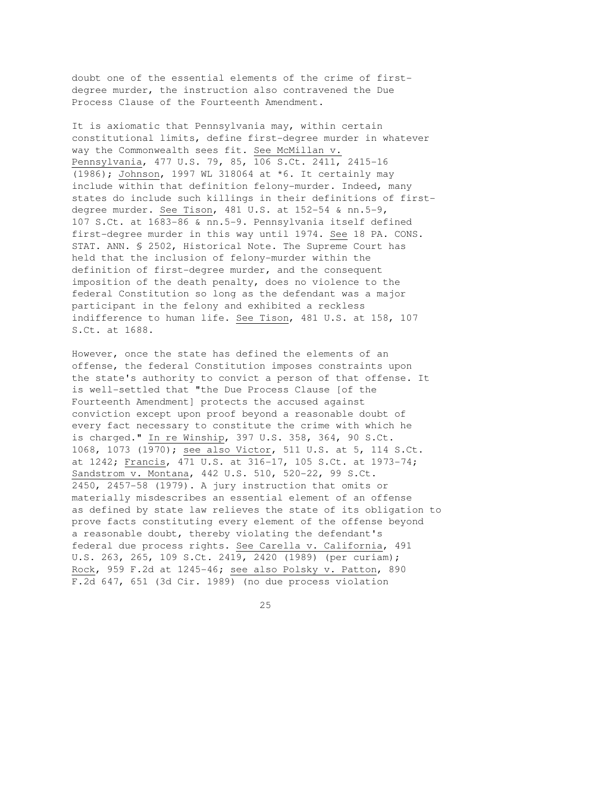doubt one of the essential elements of the crime of firstdegree murder, the instruction also contravened the Due Process Clause of the Fourteenth Amendment.

It is axiomatic that Pennsylvania may, within certain constitutional limits, define first-degree murder in whatever way the Commonwealth sees fit. See McMillan v. Pennsylvania, 477 U.S. 79, 85, 106 S.Ct. 2411, 2415-16 (1986); Johnson, 1997 WL 318064 at \*6. It certainly may include within that definition felony-murder. Indeed, many states do include such killings in their definitions of firstdegree murder. See Tison, 481 U.S. at  $152-54$  & nn.5-9, 107 S.Ct. at 1683-86 & nn.5-9. Pennsylvania itself defined first-degree murder in this way until 1974. See 18 PA. CONS. STAT. ANN. § 2502, Historical Note. The Supreme Court has held that the inclusion of felony-murder within the definition of first-degree murder, and the consequent imposition of the death penalty, does no violence to the federal Constitution so long as the defendant was a major participant in the felony and exhibited a reckless indifference to human life. See Tison, 481 U.S. at 158, 107 S.Ct. at 1688.

However, once the state has defined the elements of an offense, the federal Constitution imposes constraints upon the state's authority to convict a person of that offense. It is well-settled that "the Due Process Clause [of the Fourteenth Amendment] protects the accused against conviction except upon proof beyond a reasonable doubt of every fact necessary to constitute the crime with which he is charged." In re Winship, 397 U.S. 358, 364, 90 S.Ct. 1068, 1073 (1970); see also Victor, 511 U.S. at 5, 114 S.Ct. at 1242; Francis, 471 U.S. at 316-17, 105 S.Ct. at 1973-74; Sandstrom v. Montana, 442 U.S. 510, 520-22, 99 S.Ct. 2450, 2457-58 (1979). A jury instruction that omits or materially misdescribes an essential element of an offense as defined by state law relieves the state of its obligation to prove facts constituting every element of the offense beyond a reasonable doubt, thereby violating the defendant's federal due process rights. See Carella v. California, 491 U.S. 263, 265, 109 S.Ct. 2419, 2420 (1989) (per curiam); Rock, 959 F.2d at 1245-46; see also Polsky v. Patton, 890 F.2d 647, 651 (3d Cir. 1989) (no due process violation

<u>25</u>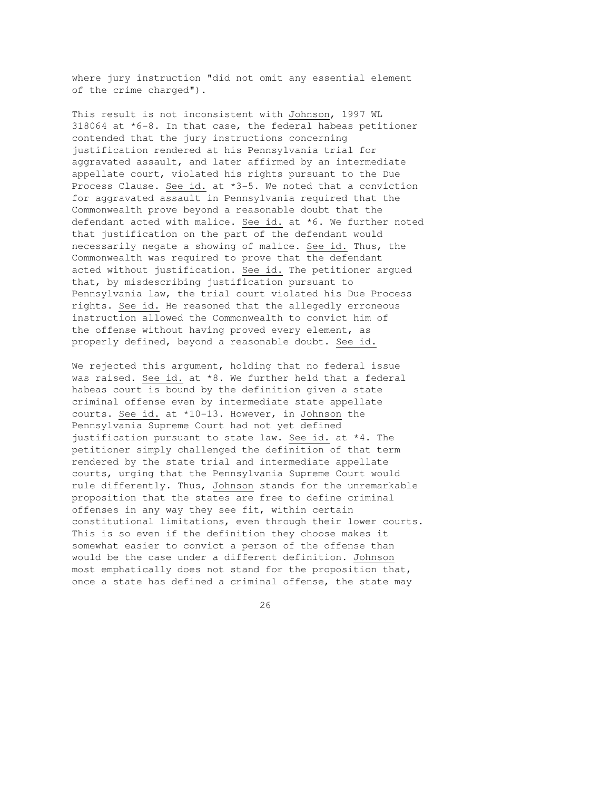where jury instruction "did not omit any essential element of the crime charged").

This result is not inconsistent with Johnson, 1997 WL 318064 at \*6-8. In that case, the federal habeas petitioner contended that the jury instructions concerning justification rendered at his Pennsylvania trial for aggravated assault, and later affirmed by an intermediate appellate court, violated his rights pursuant to the Due Process Clause. See id. at \*3-5. We noted that a conviction for aggravated assault in Pennsylvania required that the Commonwealth prove beyond a reasonable doubt that the defendant acted with malice. See id. at \*6. We further noted that justification on the part of the defendant would necessarily negate a showing of malice. See id. Thus, the Commonwealth was required to prove that the defendant acted without justification. See id. The petitioner argued that, by misdescribing justification pursuant to Pennsylvania law, the trial court violated his Due Process rights. See id. He reasoned that the allegedly erroneous instruction allowed the Commonwealth to convict him of the offense without having proved every element, as properly defined, beyond a reasonable doubt. See id.

We rejected this argument, holding that no federal issue was raised. See id. at \*8. We further held that a federal habeas court is bound by the definition given a state criminal offense even by intermediate state appellate courts. See id. at \*10-13. However, in Johnson the Pennsylvania Supreme Court had not yet defined justification pursuant to state law. See id. at \*4. The petitioner simply challenged the definition of that term rendered by the state trial and intermediate appellate courts, urging that the Pennsylvania Supreme Court would rule differently. Thus, Johnson stands for the unremarkable proposition that the states are free to define criminal offenses in any way they see fit, within certain constitutional limitations, even through their lower courts. This is so even if the definition they choose makes it somewhat easier to convict a person of the offense than would be the case under a different definition. Johnson most emphatically does not stand for the proposition that, once a state has defined a criminal offense, the state may

<u>26</u>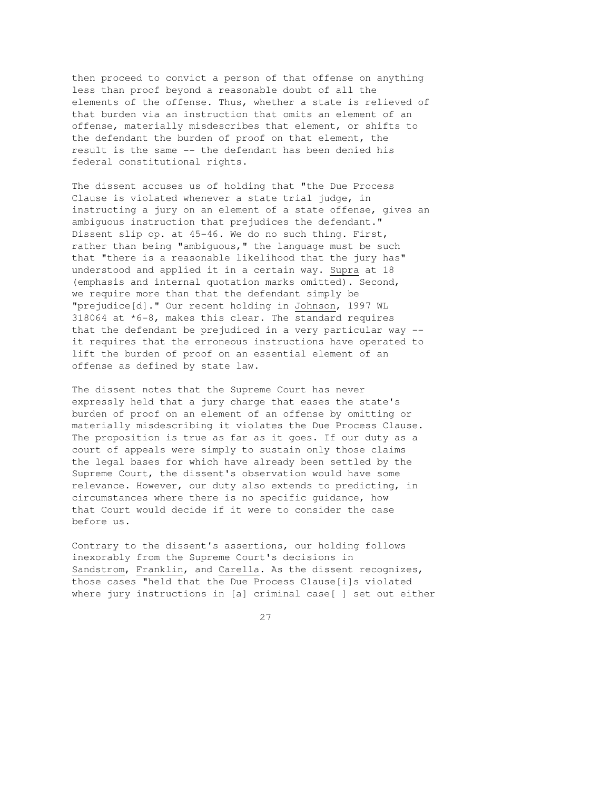then proceed to convict a person of that offense on anything less than proof beyond a reasonable doubt of all the elements of the offense. Thus, whether a state is relieved of that burden via an instruction that omits an element of an offense, materially misdescribes that element, or shifts to the defendant the burden of proof on that element, the result is the same -- the defendant has been denied his federal constitutional rights.

The dissent accuses us of holding that "the Due Process Clause is violated whenever a state trial judge, in instructing a jury on an element of a state offense, gives an ambiguous instruction that prejudices the defendant." Dissent slip op. at 45-46. We do no such thing. First, rather than being "ambiguous," the language must be such that "there is a reasonable likelihood that the jury has" understood and applied it in a certain way. Supra at 18 (emphasis and internal quotation marks omitted). Second, we require more than that the defendant simply be "prejudice[d]." Our recent holding in Johnson, 1997 WL 318064 at \*6-8, makes this clear. The standard requires that the defendant be prejudiced in a very particular way - it requires that the erroneous instructions have operated to lift the burden of proof on an essential element of an offense as defined by state law.

The dissent notes that the Supreme Court has never expressly held that a jury charge that eases the state's burden of proof on an element of an offense by omitting or materially misdescribing it violates the Due Process Clause. The proposition is true as far as it goes. If our duty as a court of appeals were simply to sustain only those claims the legal bases for which have already been settled by the Supreme Court, the dissent's observation would have some relevance. However, our duty also extends to predicting, in circumstances where there is no specific guidance, how that Court would decide if it were to consider the case before us.

Contrary to the dissent's assertions, our holding follows inexorably from the Supreme Court's decisions in Sandstrom, Franklin, and Carella. As the dissent recognizes, those cases "held that the Due Process Clause[i]s violated where jury instructions in [a] criminal case[ ] set out either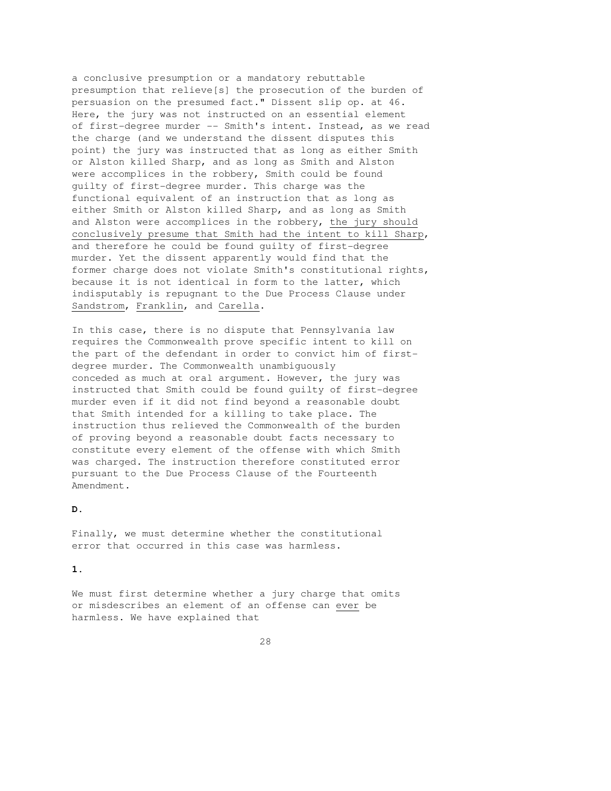a conclusive presumption or a mandatory rebuttable presumption that relieve[s] the prosecution of the burden of persuasion on the presumed fact." Dissent slip op. at 46. Here, the jury was not instructed on an essential element of first-degree murder -- Smith's intent. Instead, as we read the charge (and we understand the dissent disputes this point) the jury was instructed that as long as either Smith or Alston killed Sharp, and as long as Smith and Alston were accomplices in the robbery, Smith could be found guilty of first-degree murder. This charge was the functional equivalent of an instruction that as long as either Smith or Alston killed Sharp, and as long as Smith and Alston were accomplices in the robbery, the jury should conclusively presume that Smith had the intent to kill Sharp, and therefore he could be found guilty of first-degree murder. Yet the dissent apparently would find that the former charge does not violate Smith's constitutional rights, because it is not identical in form to the latter, which indisputably is repugnant to the Due Process Clause under Sandstrom, Franklin, and Carella.

In this case, there is no dispute that Pennsylvania law requires the Commonwealth prove specific intent to kill on the part of the defendant in order to convict him of firstdegree murder. The Commonwealth unambiguously conceded as much at oral argument. However, the jury was instructed that Smith could be found guilty of first-degree murder even if it did not find beyond a reasonable doubt that Smith intended for a killing to take place. The instruction thus relieved the Commonwealth of the burden of proving beyond a reasonable doubt facts necessary to constitute every element of the offense with which Smith was charged. The instruction therefore constituted error pursuant to the Due Process Clause of the Fourteenth Amendment.

## **D.**

Finally, we must determine whether the constitutional error that occurred in this case was harmless.

#### **1.**

We must first determine whether a jury charge that omits or misdescribes an element of an offense can ever be harmless. We have explained that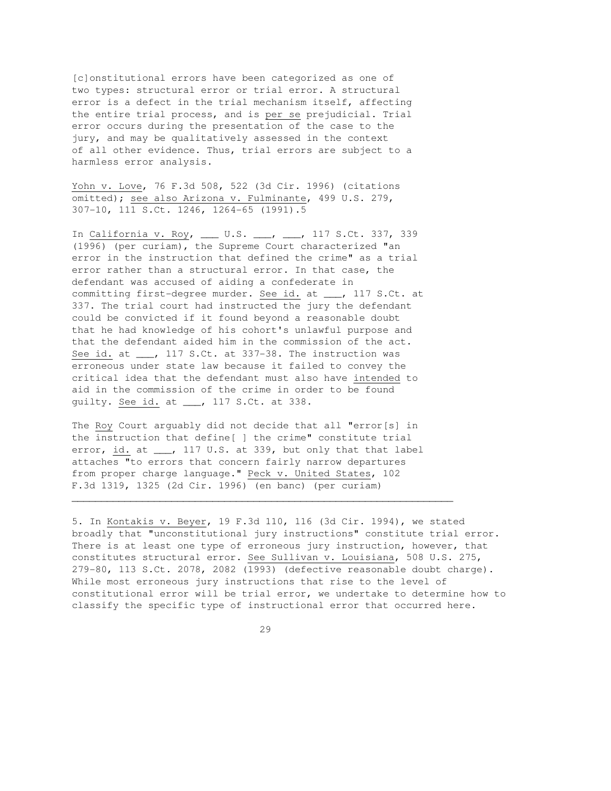[c]onstitutional errors have been categorized as one of two types: structural error or trial error. A structural error is a defect in the trial mechanism itself, affecting the entire trial process, and is per se prejudicial. Trial error occurs during the presentation of the case to the jury, and may be qualitatively assessed in the context of all other evidence. Thus, trial errors are subject to a harmless error analysis.

Yohn v. Love, 76 F.3d 508, 522 (3d Cir. 1996) (citations omitted); see also Arizona v. Fulminante, 499 U.S. 279, 307-10, 111 S.Ct. 1246, 1264-65 (1991).5

In California v. Roy, \_\_\_ U.S. \_\_\_, \_\_, 117 S.Ct. 337, 339 (1996) (per curiam), the Supreme Court characterized "an error in the instruction that defined the crime" as a trial error rather than a structural error. In that case, the defendant was accused of aiding a confederate in committing first-degree murder. See id. at \_\_\_, 117 S.Ct. at 337. The trial court had instructed the jury the defendant could be convicted if it found beyond a reasonable doubt that he had knowledge of his cohort's unlawful purpose and that the defendant aided him in the commission of the act. See id. at \_\_\_, 117 S.Ct. at 337-38. The instruction was erroneous under state law because it failed to convey the critical idea that the defendant must also have intended to aid in the commission of the crime in order to be found guilty. See id. at \_\_\_, 117 S.Ct. at 338.

The Roy Court arguably did not decide that all "error[s] in the instruction that define[ ] the crime" constitute trial error, id. at \_\_\_, 117 U.S. at 339, but only that that label attaches "to errors that concern fairly narrow departures from proper charge language." Peck v. United States, 102 F.3d 1319, 1325 (2d Cir. 1996) (en banc) (per curiam)

 $\overline{\phantom{a}}$  , and the contribution of the contribution of the contribution of the contribution of the contribution of the contribution of the contribution of the contribution of the contribution of the contribution of the

5. In Kontakis v. Beyer, 19 F.3d 110, 116 (3d Cir. 1994), we stated broadly that "unconstitutional jury instructions" constitute trial error. There is at least one type of erroneous jury instruction, however, that constitutes structural error. See Sullivan v. Louisiana, 508 U.S. 275, 279-80, 113 S.Ct. 2078, 2082 (1993) (defective reasonable doubt charge). While most erroneous jury instructions that rise to the level of constitutional error will be trial error, we undertake to determine how to classify the specific type of instructional error that occurred here.

<u>29</u>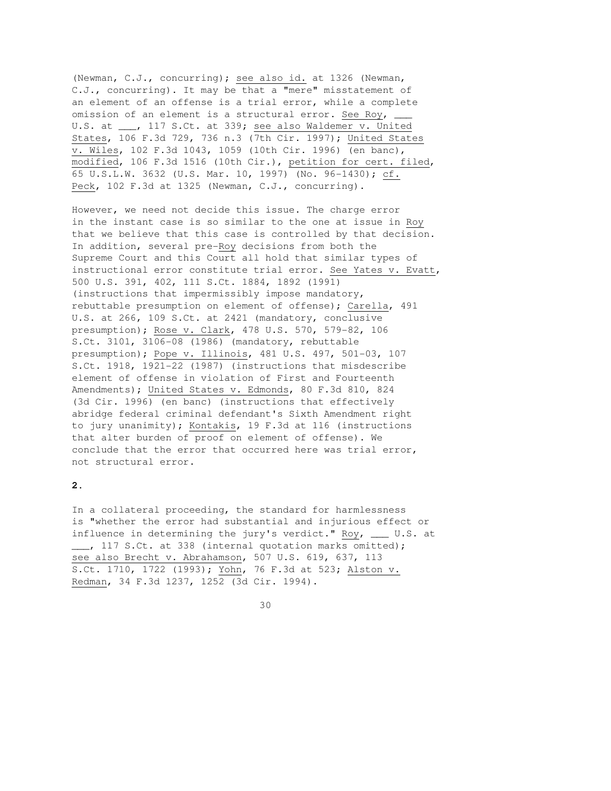(Newman, C.J., concurring); see also id. at 1326 (Newman, C.J., concurring). It may be that a "mere" misstatement of an element of an offense is a trial error, while a complete omission of an element is a structural error. See Roy, U.S. at \_\_\_, 117 S.Ct. at 339; see also Waldemer v. United States, 106 F.3d 729, 736 n.3 (7th Cir. 1997); United States v. Wiles, 102 F.3d 1043, 1059 (10th Cir. 1996) (en banc), modified, 106 F.3d 1516 (10th Cir.), petition for cert. filed, 65 U.S.L.W. 3632 (U.S. Mar. 10, 1997) (No. 96-1430); cf. Peck, 102 F.3d at 1325 (Newman, C.J., concurring).

However, we need not decide this issue. The charge error in the instant case is so similar to the one at issue in Roy that we believe that this case is controlled by that decision. In addition, several pre-Roy decisions from both the Supreme Court and this Court all hold that similar types of instructional error constitute trial error. See Yates v. Evatt, 500 U.S. 391, 402, 111 S.Ct. 1884, 1892 (1991) (instructions that impermissibly impose mandatory, rebuttable presumption on element of offense); Carella, 491 U.S. at 266, 109 S.Ct. at 2421 (mandatory, conclusive presumption); Rose v. Clark, 478 U.S. 570, 579-82, 106 S.Ct. 3101, 3106-08 (1986) (mandatory, rebuttable presumption); Pope v. Illinois, 481 U.S. 497, 501-03, 107 S.Ct. 1918, 1921-22 (1987) (instructions that misdescribe element of offense in violation of First and Fourteenth Amendments); United States v. Edmonds, 80 F.3d 810, 824 (3d Cir. 1996) (en banc) (instructions that effectively abridge federal criminal defendant's Sixth Amendment right to jury unanimity); Kontakis, 19 F.3d at 116 (instructions that alter burden of proof on element of offense). We conclude that the error that occurred here was trial error, not structural error.

# **2.**

In a collateral proceeding, the standard for harmlessness is "whether the error had substantial and injurious effect or influence in determining the jury's verdict." Roy, \_\_\_ U.S. at \_\_\_, 117 S.Ct. at 338 (internal quotation marks omitted); see also Brecht v. Abrahamson, 507 U.S. 619, 637, 113 S.Ct. 1710, 1722 (1993); Yohn, 76 F.3d at 523; Alston v. Redman, 34 F.3d 1237, 1252 (3d Cir. 1994).

 <sup>30</sup>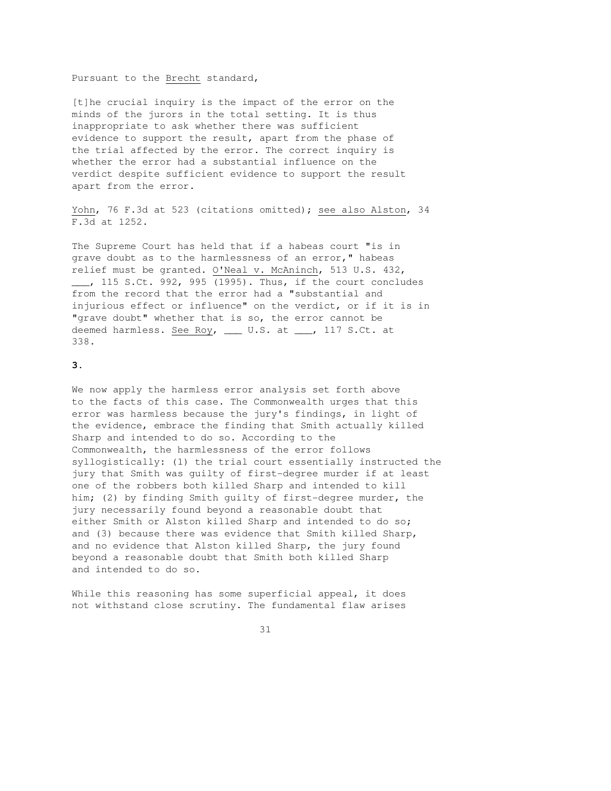#### Pursuant to the Brecht standard,

[t]he crucial inquiry is the impact of the error on the minds of the jurors in the total setting. It is thus inappropriate to ask whether there was sufficient evidence to support the result, apart from the phase of the trial affected by the error. The correct inquiry is whether the error had a substantial influence on the verdict despite sufficient evidence to support the result apart from the error.

Yohn, 76 F.3d at 523 (citations omitted); see also Alston, 34 F.3d at 1252.

The Supreme Court has held that if a habeas court "is in grave doubt as to the harmlessness of an error," habeas relief must be granted. O'Neal v. McAninch, 513 U.S. 432, \_\_\_, 115 S.Ct. 992, 995 (1995). Thus, if the court concludes from the record that the error had a "substantial and injurious effect or influence" on the verdict, or if it is in "grave doubt" whether that is so, the error cannot be deemed harmless. See Roy, \_\_\_ U.S. at \_\_\_, 117 S.Ct. at 338.

## **3.**

We now apply the harmless error analysis set forth above to the facts of this case. The Commonwealth urges that this error was harmless because the jury's findings, in light of the evidence, embrace the finding that Smith actually killed Sharp and intended to do so. According to the Commonwealth, the harmlessness of the error follows syllogistically: (1) the trial court essentially instructed the jury that Smith was guilty of first-degree murder if at least one of the robbers both killed Sharp and intended to kill him; (2) by finding Smith guilty of first-degree murder, the jury necessarily found beyond a reasonable doubt that either Smith or Alston killed Sharp and intended to do so; and (3) because there was evidence that Smith killed Sharp, and no evidence that Alston killed Sharp, the jury found beyond a reasonable doubt that Smith both killed Sharp and intended to do so.

While this reasoning has some superficial appeal, it does not withstand close scrutiny. The fundamental flaw arises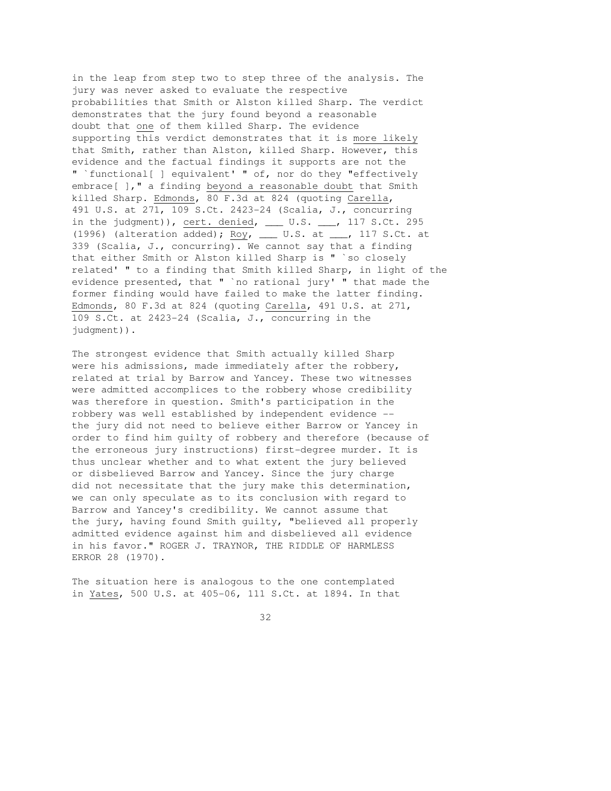in the leap from step two to step three of the analysis. The jury was never asked to evaluate the respective probabilities that Smith or Alston killed Sharp. The verdict demonstrates that the jury found beyond a reasonable doubt that one of them killed Sharp. The evidence supporting this verdict demonstrates that it is more likely that Smith, rather than Alston, killed Sharp. However, this evidence and the factual findings it supports are not the " `functional[ ] equivalent' " of, nor do they "effectively embrace[ ]," a finding beyond a reasonable doubt that Smith killed Sharp. Edmonds, 80 F.3d at 824 (quoting Carella, 491 U.S. at 271, 109 S.Ct. 2423-24 (Scalia, J., concurring in the judgment)), cert. denied, \_\_\_ U.S. \_\_\_, 117 S.Ct. 295 (1996) (alteration added);  $\underline{{\rm Roy}}$ , \_\_\_ U.S. at \_\_\_, 117 S.Ct. at 339 (Scalia, J., concurring). We cannot say that a finding that either Smith or Alston killed Sharp is " `so closely related' " to a finding that Smith killed Sharp, in light of the evidence presented, that " `no rational jury' " that made the former finding would have failed to make the latter finding. Edmonds, 80 F.3d at 824 (quoting Carella, 491 U.S. at 271, 109 S.Ct. at 2423-24 (Scalia, J., concurring in the judgment)).

The strongest evidence that Smith actually killed Sharp were his admissions, made immediately after the robbery, related at trial by Barrow and Yancey. These two witnesses were admitted accomplices to the robbery whose credibility was therefore in question. Smith's participation in the robbery was well established by independent evidence - the jury did not need to believe either Barrow or Yancey in order to find him guilty of robbery and therefore (because of the erroneous jury instructions) first-degree murder. It is thus unclear whether and to what extent the jury believed or disbelieved Barrow and Yancey. Since the jury charge did not necessitate that the jury make this determination, we can only speculate as to its conclusion with regard to Barrow and Yancey's credibility. We cannot assume that the jury, having found Smith guilty, "believed all properly admitted evidence against him and disbelieved all evidence in his favor." ROGER J. TRAYNOR, THE RIDDLE OF HARMLESS ERROR 28 (1970).

The situation here is analogous to the one contemplated in Yates, 500 U.S. at 405-06, 111 S.Ct. at 1894. In that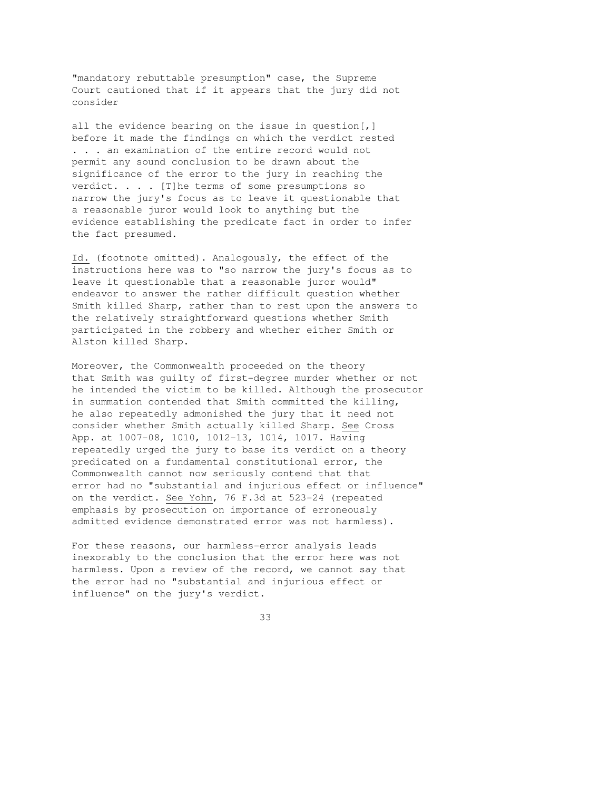"mandatory rebuttable presumption" case, the Supreme Court cautioned that if it appears that the jury did not consider

all the evidence bearing on the issue in question[,] before it made the findings on which the verdict rested . . . an examination of the entire record would not permit any sound conclusion to be drawn about the significance of the error to the jury in reaching the verdict. . . . [T] he terms of some presumptions so narrow the jury's focus as to leave it questionable that a reasonable juror would look to anything but the evidence establishing the predicate fact in order to infer the fact presumed.

Id. (footnote omitted). Analogously, the effect of the instructions here was to "so narrow the jury's focus as to leave it questionable that a reasonable juror would" endeavor to answer the rather difficult question whether Smith killed Sharp, rather than to rest upon the answers to the relatively straightforward questions whether Smith participated in the robbery and whether either Smith or Alston killed Sharp.

Moreover, the Commonwealth proceeded on the theory that Smith was guilty of first-degree murder whether or not he intended the victim to be killed. Although the prosecutor in summation contended that Smith committed the killing, he also repeatedly admonished the jury that it need not consider whether Smith actually killed Sharp. See Cross App. at 1007-08, 1010, 1012-13, 1014, 1017. Having repeatedly urged the jury to base its verdict on a theory predicated on a fundamental constitutional error, the Commonwealth cannot now seriously contend that that error had no "substantial and injurious effect or influence" on the verdict. See Yohn, 76 F.3d at 523-24 (repeated emphasis by prosecution on importance of erroneously admitted evidence demonstrated error was not harmless).

For these reasons, our harmless-error analysis leads inexorably to the conclusion that the error here was not harmless. Upon a review of the record, we cannot say that the error had no "substantial and injurious effect or influence" on the jury's verdict.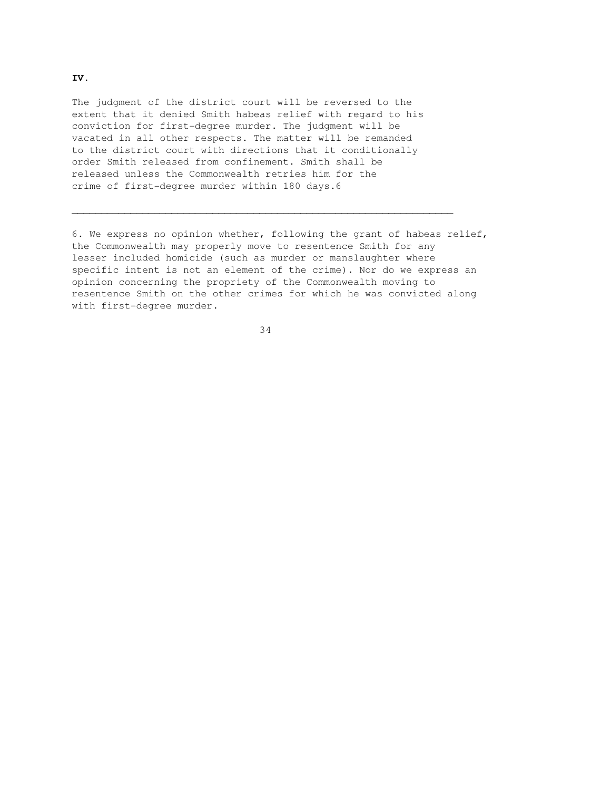The judgment of the district court will be reversed to the extent that it denied Smith habeas relief with regard to his conviction for first-degree murder. The judgment will be vacated in all other respects. The matter will be remanded to the district court with directions that it conditionally order Smith released from confinement. Smith shall be released unless the Commonwealth retries him for the crime of first-degree murder within 180 days.6

6. We express no opinion whether, following the grant of habeas relief, the Commonwealth may properly move to resentence Smith for any lesser included homicide (such as murder or manslaughter where specific intent is not an element of the crime). Nor do we express an opinion concerning the propriety of the Commonwealth moving to resentence Smith on the other crimes for which he was convicted along with first-degree murder.

34

 $\overline{\phantom{a}}$  , and the contribution of the contribution of the contribution of the contribution of the contribution of the contribution of the contribution of the contribution of the contribution of the contribution of the

# **IV.**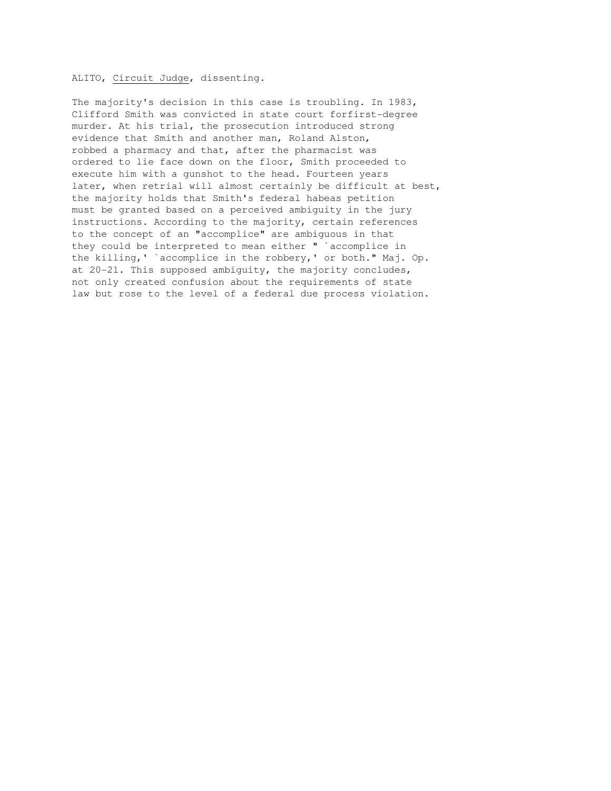### ALITO, Circuit Judge, dissenting.

The majority's decision in this case is troubling. In 1983, Clifford Smith was convicted in state court forfirst-degree murder. At his trial, the prosecution introduced strong evidence that Smith and another man, Roland Alston, robbed a pharmacy and that, after the pharmacist was ordered to lie face down on the floor, Smith proceeded to execute him with a gunshot to the head. Fourteen years later, when retrial will almost certainly be difficult at best, the majority holds that Smith's federal habeas petition must be granted based on a perceived ambiguity in the jury instructions. According to the majority, certain references to the concept of an "accomplice" are ambiguous in that they could be interpreted to mean either " `accomplice in the killing,' `accomplice in the robbery,' or both." Maj. Op. at 20-21. This supposed ambiguity, the majority concludes, not only created confusion about the requirements of state law but rose to the level of a federal due process violation.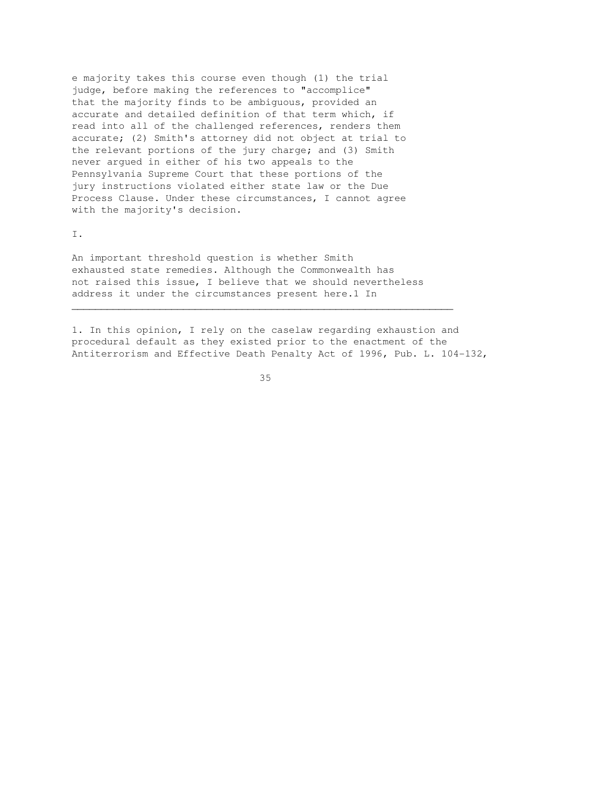e majority takes this course even though (1) the trial judge, before making the references to "accomplice" that the majority finds to be ambiguous, provided an accurate and detailed definition of that term which, if read into all of the challenged references, renders them accurate; (2) Smith's attorney did not object at trial to the relevant portions of the jury charge; and (3) Smith never argued in either of his two appeals to the Pennsylvania Supreme Court that these portions of the jury instructions violated either state law or the Due Process Clause. Under these circumstances, I cannot agree with the majority's decision.

I.

An important threshold question is whether Smith exhausted state remedies. Although the Commonwealth has not raised this issue, I believe that we should nevertheless address it under the circumstances present here.1 In

1. In this opinion, I rely on the caselaw regarding exhaustion and procedural default as they existed prior to the enactment of the Antiterrorism and Effective Death Penalty Act of 1996, Pub. L. 104-132,

<u>35</u>

 $\overline{\phantom{a}}$  , and the contribution of the contribution of the contribution of the contribution of the contribution of the contribution of the contribution of the contribution of the contribution of the contribution of the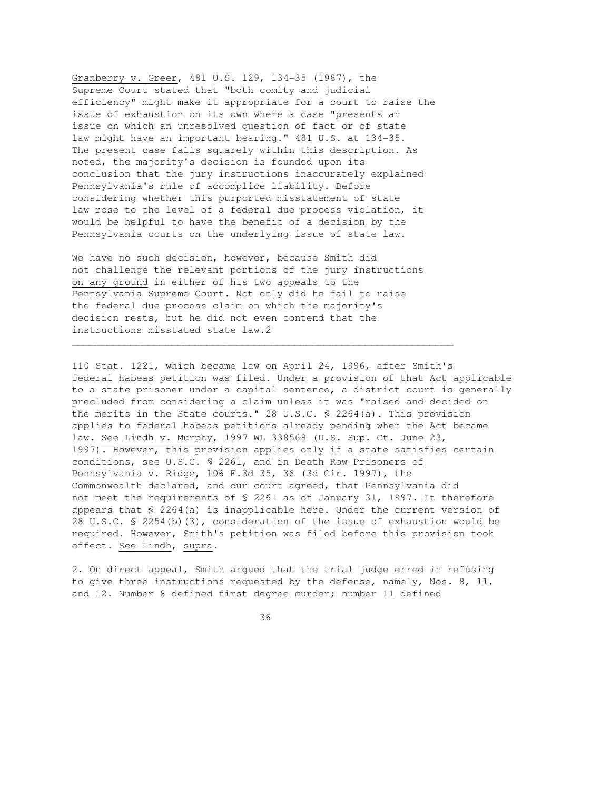Granberry v. Greer, 481 U.S. 129, 134-35 (1987), the Supreme Court stated that "both comity and judicial efficiency" might make it appropriate for a court to raise the issue of exhaustion on its own where a case "presents an issue on which an unresolved question of fact or of state law might have an important bearing." 481 U.S. at 134-35. The present case falls squarely within this description. As noted, the majority's decision is founded upon its conclusion that the jury instructions inaccurately explained Pennsylvania's rule of accomplice liability. Before considering whether this purported misstatement of state law rose to the level of a federal due process violation, it would be helpful to have the benefit of a decision by the Pennsylvania courts on the underlying issue of state law.

We have no such decision, however, because Smith did not challenge the relevant portions of the jury instructions on any ground in either of his two appeals to the Pennsylvania Supreme Court. Not only did he fail to raise the federal due process claim on which the majority's decision rests, but he did not even contend that the instructions misstated state law.2

\_\_\_\_\_\_\_\_\_\_\_\_\_\_\_\_\_\_\_\_\_\_\_\_\_\_\_\_\_\_\_\_\_\_\_\_\_\_\_\_\_\_\_\_\_\_\_\_\_\_\_\_\_\_\_\_\_\_\_\_\_\_\_\_\_

110 Stat. 1221, which became law on April 24, 1996, after Smith's federal habeas petition was filed. Under a provision of that Act applicable to a state prisoner under a capital sentence, a district court is generally precluded from considering a claim unless it was "raised and decided on the merits in the State courts." 28 U.S.C. § 2264(a). This provision applies to federal habeas petitions already pending when the Act became law. See Lindh v. Murphy, 1997 WL 338568 (U.S. Sup. Ct. June 23, 1997). However, this provision applies only if a state satisfies certain conditions, see U.S.C. § 2261, and in Death Row Prisoners of Pennsylvania v. Ridge, 106 F.3d 35, 36 (3d Cir. 1997), the Commonwealth declared, and our court agreed, that Pennsylvania did not meet the requirements of § 2261 as of January 31, 1997. It therefore appears that § 2264(a) is inapplicable here. Under the current version of 28 U.S.C. § 2254(b)(3), consideration of the issue of exhaustion would be required. However, Smith's petition was filed before this provision took effect. See Lindh, supra.

2. On direct appeal, Smith argued that the trial judge erred in refusing to give three instructions requested by the defense, namely, Nos. 8, 11, and 12. Number 8 defined first degree murder; number 11 defined

<u>36 and 36</u>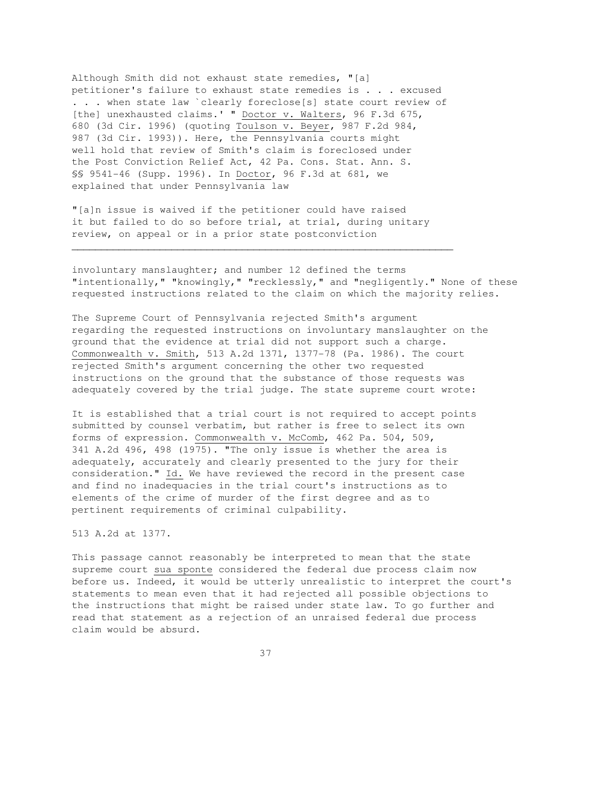Although Smith did not exhaust state remedies, "[a] petitioner's failure to exhaust state remedies is . . . excused . . . when state law `clearly foreclose[s] state court review of [the] unexhausted claims.' " Doctor v. Walters, 96 F.3d 675, 680 (3d Cir. 1996) (quoting Toulson v. Beyer, 987 F.2d 984, 987 (3d Cir. 1993)). Here, the Pennsylvania courts might well hold that review of Smith's claim is foreclosed under the Post Conviction Relief Act, 42 Pa. Cons. Stat. Ann. S. §§ 9541-46 (Supp. 1996). In Doctor, 96 F.3d at 681, we explained that under Pennsylvania law

"[a]n issue is waived if the petitioner could have raised it but failed to do so before trial, at trial, during unitary review, on appeal or in a prior state postconviction

 $\overline{\phantom{a}}$  , and the contribution of the contribution of the contribution of the contribution of the contribution of the contribution of the contribution of the contribution of the contribution of the contribution of the

involuntary manslaughter; and number 12 defined the terms "intentionally," "knowingly," "recklessly," and "negligently." None of these requested instructions related to the claim on which the majority relies.

The Supreme Court of Pennsylvania rejected Smith's argument regarding the requested instructions on involuntary manslaughter on the ground that the evidence at trial did not support such a charge. Commonwealth v. Smith, 513 A.2d 1371, 1377-78 (Pa. 1986). The court rejected Smith's argument concerning the other two requested instructions on the ground that the substance of those requests was adequately covered by the trial judge. The state supreme court wrote:

It is established that a trial court is not required to accept points submitted by counsel verbatim, but rather is free to select its own forms of expression. Commonwealth v. McComb, 462 Pa. 504, 509, 341 A.2d 496, 498 (1975). "The only issue is whether the area is adequately, accurately and clearly presented to the jury for their consideration." Id. We have reviewed the record in the present case and find no inadequacies in the trial court's instructions as to elements of the crime of murder of the first degree and as to pertinent requirements of criminal culpability.

# 513 A.2d at 1377.

This passage cannot reasonably be interpreted to mean that the state supreme court sua sponte considered the federal due process claim now before us. Indeed, it would be utterly unrealistic to interpret the court's statements to mean even that it had rejected all possible objections to the instructions that might be raised under state law. To go further and read that statement as a rejection of an unraised federal due process claim would be absurd.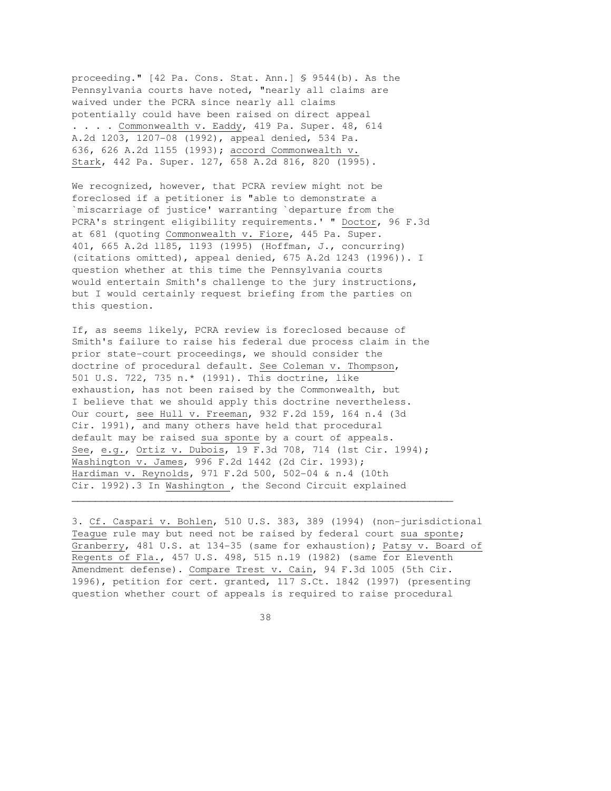proceeding." [42 Pa. Cons. Stat. Ann.] § 9544(b). As the Pennsylvania courts have noted, "nearly all claims are waived under the PCRA since nearly all claims potentially could have been raised on direct appeal . . . . Commonwealth v. Eaddy, 419 Pa. Super. 48, 614 A.2d 1203, 1207-08 (1992), appeal denied, 534 Pa. 636, 626 A.2d 1155 (1993); accord Commonwealth v. Stark, 442 Pa. Super. 127, 658 A.2d 816, 820 (1995).

We recognized, however, that PCRA review might not be foreclosed if a petitioner is "able to demonstrate a `miscarriage of justice' warranting `departure from the PCRA's stringent eligibility requirements.' " Doctor, 96 F.3d at 681 (quoting Commonwealth v. Fiore, 445 Pa. Super. 401, 665 A.2d ll85, 1193 (1995) (Hoffman, J., concurring) (citations omitted), appeal denied, 675 A.2d 1243 (1996)). I question whether at this time the Pennsylvania courts would entertain Smith's challenge to the jury instructions, but I would certainly request briefing from the parties on this question.

If, as seems likely, PCRA review is foreclosed because of Smith's failure to raise his federal due process claim in the prior state-court proceedings, we should consider the doctrine of procedural default. See Coleman v. Thompson, 501 U.S. 722, 735 n.\* (1991). This doctrine, like exhaustion, has not been raised by the Commonwealth, but I believe that we should apply this doctrine nevertheless. Our court, see Hull v. Freeman, 932 F.2d 159, 164 n.4 (3d Cir. 1991), and many others have held that procedural default may be raised sua sponte by a court of appeals. See, e.g., Ortiz v. Dubois, 19 F.3d 708, 714 (1st Cir. 1994); Washington v. James, 996 F.2d 1442 (2d Cir. 1993); Hardiman v. Reynolds, 971 F.2d 500, 502-04 & n.4 (10th Cir. 1992).3 In Washington , the Second Circuit explained

3. Cf. Caspari v. Bohlen, 510 U.S. 383, 389 (1994) (non-jurisdictional Teague rule may but need not be raised by federal court sua sponte; Granberry, 481 U.S. at 134-35 (same for exhaustion); Patsy v. Board of Regents of Fla., 457 U.S. 498, 515 n.19 (1982) (same for Eleventh Amendment defense). Compare Trest v. Cain, 94 F.3d 1005 (5th Cir. 1996), petition for cert. granted, 117 S.Ct. 1842 (1997) (presenting question whether court of appeals is required to raise procedural

 $\overline{\phantom{a}}$  , and the contribution of the contribution of the contribution of the contribution of the contribution of the contribution of the contribution of the contribution of the contribution of the contribution of the

<u>38 and 38</u>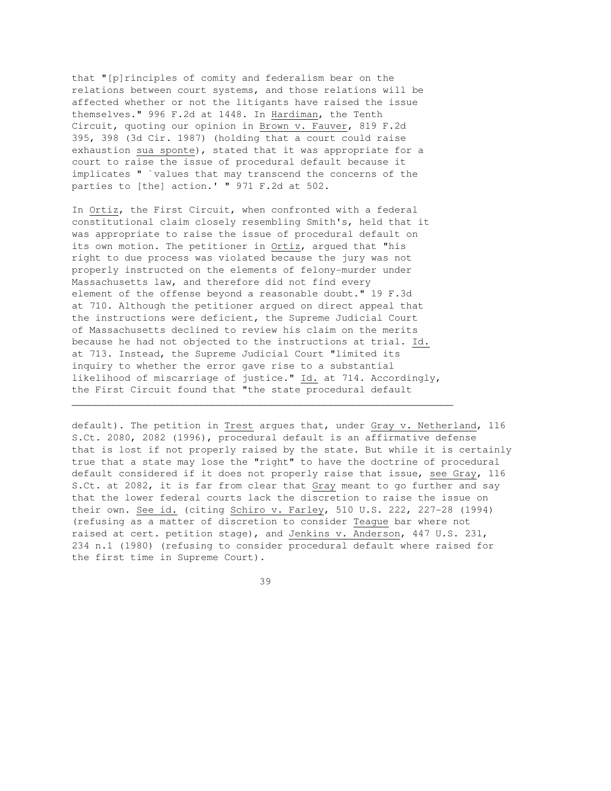that "[p]rinciples of comity and federalism bear on the relations between court systems, and those relations will be affected whether or not the litigants have raised the issue themselves." 996 F.2d at 1448. In Hardiman, the Tenth Circuit, quoting our opinion in Brown v. Fauver, 819 F.2d 395, 398 (3d Cir. 1987) (holding that a court could raise exhaustion sua sponte), stated that it was appropriate for a court to raise the issue of procedural default because it implicates " `values that may transcend the concerns of the parties to [the] action.' " 971 F.2d at 502.

In Ortiz, the First Circuit, when confronted with a federal constitutional claim closely resembling Smith's, held that it was appropriate to raise the issue of procedural default on its own motion. The petitioner in Ortiz, argued that "his right to due process was violated because the jury was not properly instructed on the elements of felony-murder under Massachusetts law, and therefore did not find every element of the offense beyond a reasonable doubt." 19 F.3d at 710. Although the petitioner argued on direct appeal that the instructions were deficient, the Supreme Judicial Court of Massachusetts declined to review his claim on the merits because he had not objected to the instructions at trial. Id. at 713. Instead, the Supreme Judicial Court "limited its inquiry to whether the error gave rise to a substantial likelihood of miscarriage of justice." Id. at 714. Accordingly, the First Circuit found that "the state procedural default

 $\overline{\phantom{a}}$  , and the contribution of the contribution of the contribution of the contribution of the contribution of the contribution of the contribution of the contribution of the contribution of the contribution of the

default). The petition in Trest argues that, under Gray v. Netherland, 116 S.Ct. 2080, 2082 (1996), procedural default is an affirmative defense that is lost if not properly raised by the state. But while it is certainly true that a state may lose the "right" to have the doctrine of procedural default considered if it does not properly raise that issue, see Gray, 116 S.Ct. at 2082, it is far from clear that Gray meant to go further and say that the lower federal courts lack the discretion to raise the issue on their own. See id. (citing Schiro v. Farley, 510 U.S. 222, 227-28 (1994) (refusing as a matter of discretion to consider Teague bar where not raised at cert. petition stage), and Jenkins v. Anderson, 447 U.S. 231, 234 n.1 (1980) (refusing to consider procedural default where raised for the first time in Supreme Court).

<u>39 and 2012</u>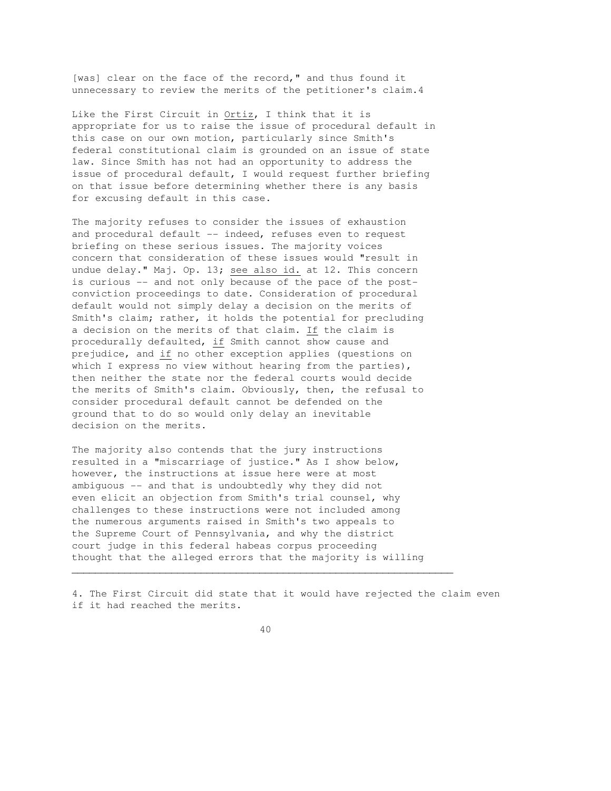[was] clear on the face of the record," and thus found it unnecessary to review the merits of the petitioner's claim.4

Like the First Circuit in Ortiz, I think that it is appropriate for us to raise the issue of procedural default in this case on our own motion, particularly since Smith's federal constitutional claim is grounded on an issue of state law. Since Smith has not had an opportunity to address the issue of procedural default, I would request further briefing on that issue before determining whether there is any basis for excusing default in this case.

The majority refuses to consider the issues of exhaustion and procedural default -- indeed, refuses even to request briefing on these serious issues. The majority voices concern that consideration of these issues would "result in undue delay." Maj. Op. 13; see also id. at 12. This concern is curious -- and not only because of the pace of the postconviction proceedings to date. Consideration of procedural default would not simply delay a decision on the merits of Smith's claim; rather, it holds the potential for precluding a decision on the merits of that claim. If the claim is procedurally defaulted, if Smith cannot show cause and prejudice, and if no other exception applies (questions on which I express no view without hearing from the parties), then neither the state nor the federal courts would decide the merits of Smith's claim. Obviously, then, the refusal to consider procedural default cannot be defended on the ground that to do so would only delay an inevitable decision on the merits.

The majority also contends that the jury instructions resulted in a "miscarriage of justice." As I show below, however, the instructions at issue here were at most ambiguous -- and that is undoubtedly why they did not even elicit an objection from Smith's trial counsel, why challenges to these instructions were not included among the numerous arguments raised in Smith's two appeals to the Supreme Court of Pennsylvania, and why the district court judge in this federal habeas corpus proceeding thought that the alleged errors that the majority is willing

4. The First Circuit did state that it would have rejected the claim even if it had reached the merits.

40

 $\overline{\phantom{a}}$  , and the contribution of the contribution of the contribution of the contribution of the contribution of the contribution of the contribution of the contribution of the contribution of the contribution of the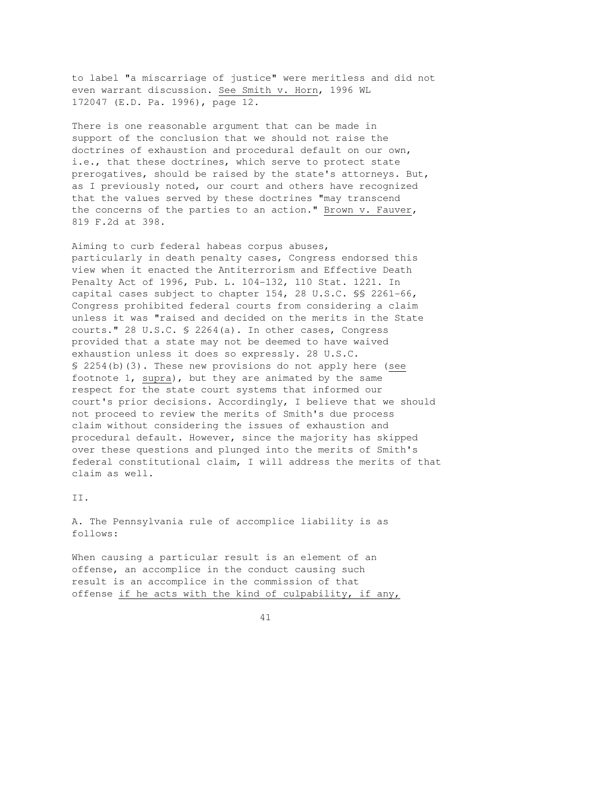to label "a miscarriage of justice" were meritless and did not even warrant discussion. See Smith v. Horn, 1996 WL 172047 (E.D. Pa. 1996), page 12.

There is one reasonable argument that can be made in support of the conclusion that we should not raise the doctrines of exhaustion and procedural default on our own, i.e., that these doctrines, which serve to protect state prerogatives, should be raised by the state's attorneys. But, as I previously noted, our court and others have recognized that the values served by these doctrines "may transcend the concerns of the parties to an action." Brown v. Fauver, 819 F.2d at 398.

Aiming to curb federal habeas corpus abuses, particularly in death penalty cases, Congress endorsed this view when it enacted the Antiterrorism and Effective Death Penalty Act of 1996, Pub. L. 104-132, 110 Stat. 1221. In capital cases subject to chapter 154, 28 U.S.C. §§ 2261-66, Congress prohibited federal courts from considering a claim unless it was "raised and decided on the merits in the State courts." 28 U.S.C. § 2264(a). In other cases, Congress provided that a state may not be deemed to have waived exhaustion unless it does so expressly. 28 U.S.C. § 2254(b)(3). These new provisions do not apply here (see footnote 1, supra), but they are animated by the same respect for the state court systems that informed our court's prior decisions. Accordingly, I believe that we should not proceed to review the merits of Smith's due process claim without considering the issues of exhaustion and procedural default. However, since the majority has skipped over these questions and plunged into the merits of Smith's federal constitutional claim, I will address the merits of that claim as well.

II.

A. The Pennsylvania rule of accomplice liability is as follows:

When causing a particular result is an element of an offense, an accomplice in the conduct causing such result is an accomplice in the commission of that offense if he acts with the kind of culpability, if any,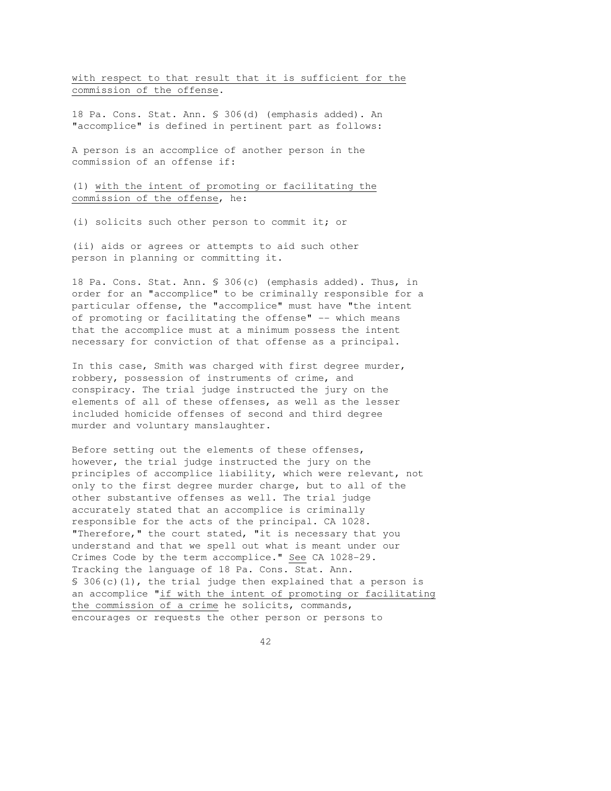with respect to that result that it is sufficient for the commission of the offense.

18 Pa. Cons. Stat. Ann. § 306(d) (emphasis added). An "accomplice" is defined in pertinent part as follows:

A person is an accomplice of another person in the commission of an offense if:

(1) with the intent of promoting or facilitating the commission of the offense, he:

(i) solicits such other person to commit it; or

(ii) aids or agrees or attempts to aid such other person in planning or committing it.

18 Pa. Cons. Stat. Ann. § 306(c) (emphasis added). Thus, in order for an "accomplice" to be criminally responsible for a particular offense, the "accomplice" must have "the intent of promoting or facilitating the offense" -- which means that the accomplice must at a minimum possess the intent necessary for conviction of that offense as a principal.

In this case, Smith was charged with first degree murder, robbery, possession of instruments of crime, and conspiracy. The trial judge instructed the jury on the elements of all of these offenses, as well as the lesser included homicide offenses of second and third degree murder and voluntary manslaughter.

Before setting out the elements of these offenses, however, the trial judge instructed the jury on the principles of accomplice liability, which were relevant, not only to the first degree murder charge, but to all of the other substantive offenses as well. The trial judge accurately stated that an accomplice is criminally responsible for the acts of the principal. CA 1028. "Therefore," the court stated, "it is necessary that you understand and that we spell out what is meant under our Crimes Code by the term accomplice." See CA 1028-29. Tracking the language of 18 Pa. Cons. Stat. Ann.  $$306(c)(1)$ , the trial judge then explained that a person is an accomplice "if with the intent of promoting or facilitating the commission of a crime he solicits, commands, encourages or requests the other person or persons to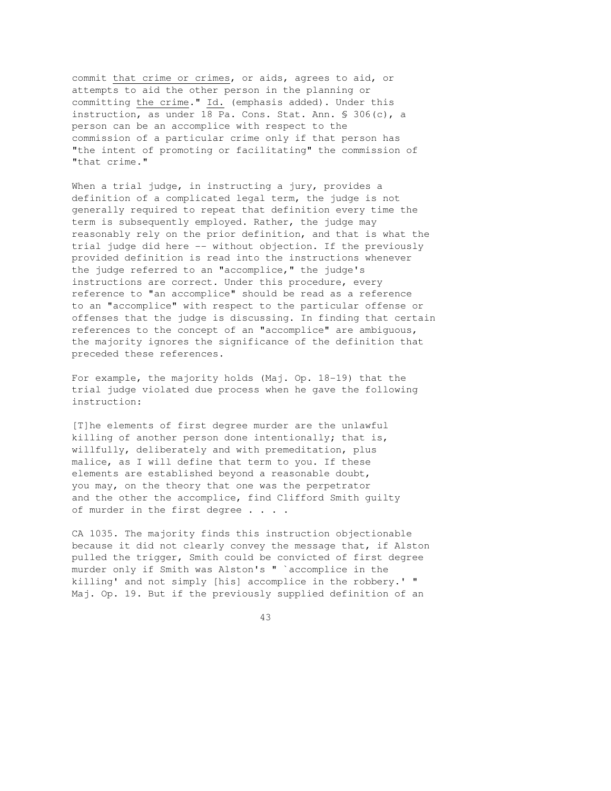commit that crime or crimes, or aids, agrees to aid, or attempts to aid the other person in the planning or committing the crime." Id. (emphasis added). Under this instruction, as under 18 Pa. Cons. Stat. Ann. § 306(c), a person can be an accomplice with respect to the commission of a particular crime only if that person has "the intent of promoting or facilitating" the commission of "that crime."

When a trial judge, in instructing a jury, provides a definition of a complicated legal term, the judge is not generally required to repeat that definition every time the term is subsequently employed. Rather, the judge may reasonably rely on the prior definition, and that is what the trial judge did here -- without objection. If the previously provided definition is read into the instructions whenever the judge referred to an "accomplice," the judge's instructions are correct. Under this procedure, every reference to "an accomplice" should be read as a reference to an "accomplice" with respect to the particular offense or offenses that the judge is discussing. In finding that certain references to the concept of an "accomplice" are ambiguous, the majority ignores the significance of the definition that preceded these references.

For example, the majority holds (Maj. Op. 18-19) that the trial judge violated due process when he gave the following instruction:

[T]he elements of first degree murder are the unlawful killing of another person done intentionally; that is, willfully, deliberately and with premeditation, plus malice, as I will define that term to you. If these elements are established beyond a reasonable doubt, you may, on the theory that one was the perpetrator and the other the accomplice, find Clifford Smith guilty of murder in the first degree . . . .

CA 1035. The majority finds this instruction objectionable because it did not clearly convey the message that, if Alston pulled the trigger, Smith could be convicted of first degree murder only if Smith was Alston's " `accomplice in the killing' and not simply [his] accomplice in the robbery.' " Maj. Op. 19. But if the previously supplied definition of an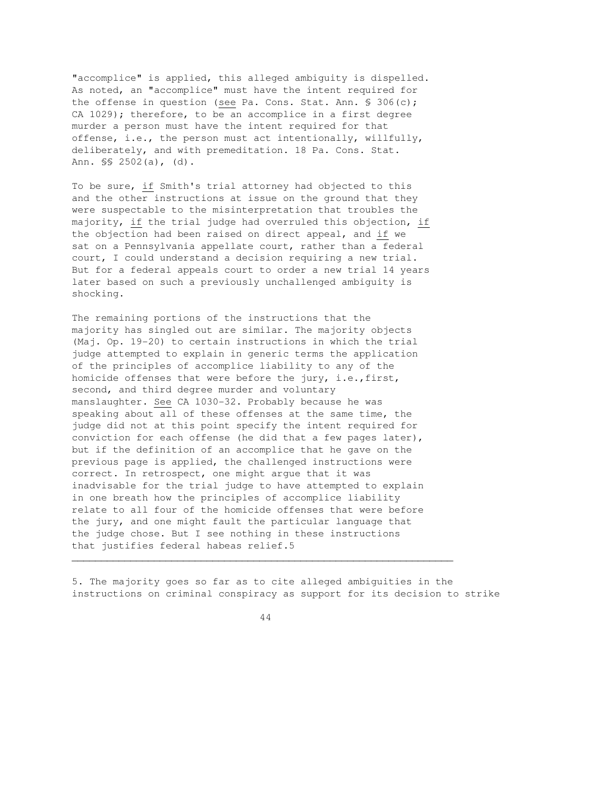"accomplice" is applied, this alleged ambiguity is dispelled. As noted, an "accomplice" must have the intent required for the offense in question (see Pa. Cons. Stat. Ann. § 306(c); CA 1029); therefore, to be an accomplice in a first degree murder a person must have the intent required for that offense, i.e., the person must act intentionally, willfully, deliberately, and with premeditation. 18 Pa. Cons. Stat. Ann. §§ 2502(a), (d).

To be sure, if Smith's trial attorney had objected to this and the other instructions at issue on the ground that they were suspectable to the misinterpretation that troubles the majority, if the trial judge had overruled this objection, if the objection had been raised on direct appeal, and if we sat on a Pennsylvania appellate court, rather than a federal court, I could understand a decision requiring a new trial. But for a federal appeals court to order a new trial 14 years later based on such a previously unchallenged ambiguity is shocking.

The remaining portions of the instructions that the majority has singled out are similar. The majority objects (Maj. Op. 19-20) to certain instructions in which the trial judge attempted to explain in generic terms the application of the principles of accomplice liability to any of the homicide offenses that were before the jury, i.e.,first, second, and third degree murder and voluntary manslaughter. See CA 1030-32. Probably because he was speaking about all of these offenses at the same time, the judge did not at this point specify the intent required for conviction for each offense (he did that a few pages later), but if the definition of an accomplice that he gave on the previous page is applied, the challenged instructions were correct. In retrospect, one might argue that it was inadvisable for the trial judge to have attempted to explain in one breath how the principles of accomplice liability relate to all four of the homicide offenses that were before the jury, and one might fault the particular language that the judge chose. But I see nothing in these instructions that justifies federal habeas relief.5

5. The majority goes so far as to cite alleged ambiguities in the instructions on criminal conspiracy as support for its decision to strike

44

 $\overline{\phantom{a}}$  , and the contribution of the contribution of the contribution of the contribution of the contribution of the contribution of the contribution of the contribution of the contribution of the contribution of the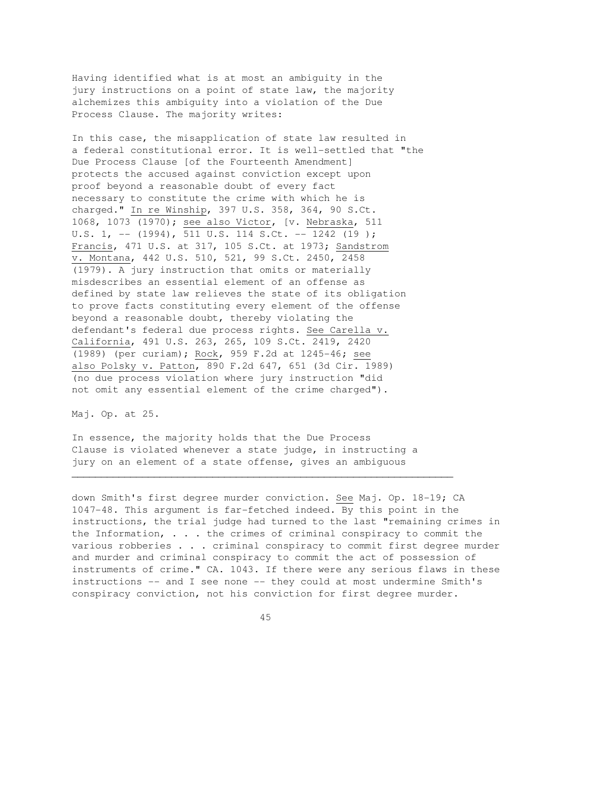Having identified what is at most an ambiguity in the jury instructions on a point of state law, the majority alchemizes this ambiguity into a violation of the Due Process Clause. The majority writes:

In this case, the misapplication of state law resulted in a federal constitutional error. It is well-settled that "the Due Process Clause [of the Fourteenth Amendment] protects the accused against conviction except upon proof beyond a reasonable doubt of every fact necessary to constitute the crime with which he is charged." In re Winship, 397 U.S. 358, 364, 90 S.Ct. 1068, 1073 (1970); see also Victor, [v. Nebraska, 511 U.S. 1, --  $(1994)$ ,  $\overline{511}$  U.S.  $114$  S.Ct. --  $1242$   $(19)$ ; Francis, 471 U.S. at 317, 105 S.Ct. at 1973; Sandstrom v. Montana, 442 U.S. 510, 521, 99 S.Ct. 2450, 2458 (1979). A jury instruction that omits or materially misdescribes an essential element of an offense as defined by state law relieves the state of its obligation to prove facts constituting every element of the offense beyond a reasonable doubt, thereby violating the defendant's federal due process rights. See Carella v. California, 491 U.S. 263, 265, 109 S.Ct. 2419, 2420 (1989) (per curiam); Rock, 959 F.2d at 1245-46; see also Polsky v. Patton, 890 F.2d 647, 651 (3d Cir. 1989) (no due process violation where jury instruction "did not omit any essential element of the crime charged").

Maj. Op. at 25.

In essence, the majority holds that the Due Process Clause is violated whenever a state judge, in instructing a jury on an element of a state offense, gives an ambiguous

 $\overline{\phantom{a}}$  , and the contribution of the contribution of the contribution of the contribution of the contribution of the contribution of the contribution of the contribution of the contribution of the contribution of the

down Smith's first degree murder conviction. See Maj. Op. 18-19; CA 1047-48. This argument is far-fetched indeed. By this point in the instructions, the trial judge had turned to the last "remaining crimes in the Information, . . . the crimes of criminal conspiracy to commit the various robberies . . . criminal conspiracy to commit first degree murder and murder and criminal conspiracy to commit the act of possession of instruments of crime." CA. 1043. If there were any serious flaws in these instructions -- and I see none -- they could at most undermine Smith's conspiracy conviction, not his conviction for first degree murder.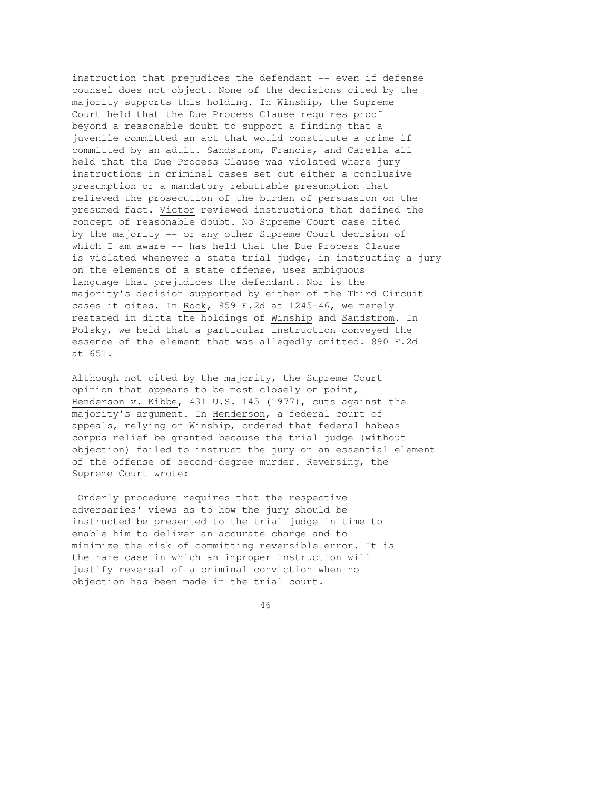instruction that prejudices the defendant -- even if defense counsel does not object. None of the decisions cited by the majority supports this holding. In Winship, the Supreme Court held that the Due Process Clause requires proof beyond a reasonable doubt to support a finding that a juvenile committed an act that would constitute a crime if committed by an adult. Sandstrom, Francis, and Carella all held that the Due Process Clause was violated where jury instructions in criminal cases set out either a conclusive presumption or a mandatory rebuttable presumption that relieved the prosecution of the burden of persuasion on the presumed fact. Victor reviewed instructions that defined the concept of reasonable doubt. No Supreme Court case cited by the majority -- or any other Supreme Court decision of which I am aware -- has held that the Due Process Clause is violated whenever a state trial judge, in instructing a jury on the elements of a state offense, uses ambiguous language that prejudices the defendant. Nor is the majority's decision supported by either of the Third Circuit cases it cites. In Rock, 959 F.2d at 1245-46, we merely restated in dicta the holdings of Winship and Sandstrom. In Polsky, we held that a particular instruction conveyed the essence of the element that was allegedly omitted. 890 F.2d at 651.

Although not cited by the majority, the Supreme Court opinion that appears to be most closely on point, Henderson v. Kibbe, 431 U.S. 145 (1977), cuts against the majority's argument. In Henderson, a federal court of appeals, relying on Winship, ordered that federal habeas corpus relief be granted because the trial judge (without objection) failed to instruct the jury on an essential element of the offense of second-degree murder. Reversing, the Supreme Court wrote:

 Orderly procedure requires that the respective adversaries' views as to how the jury should be instructed be presented to the trial judge in time to enable him to deliver an accurate charge and to minimize the risk of committing reversible error. It is the rare case in which an improper instruction will justify reversal of a criminal conviction when no objection has been made in the trial court.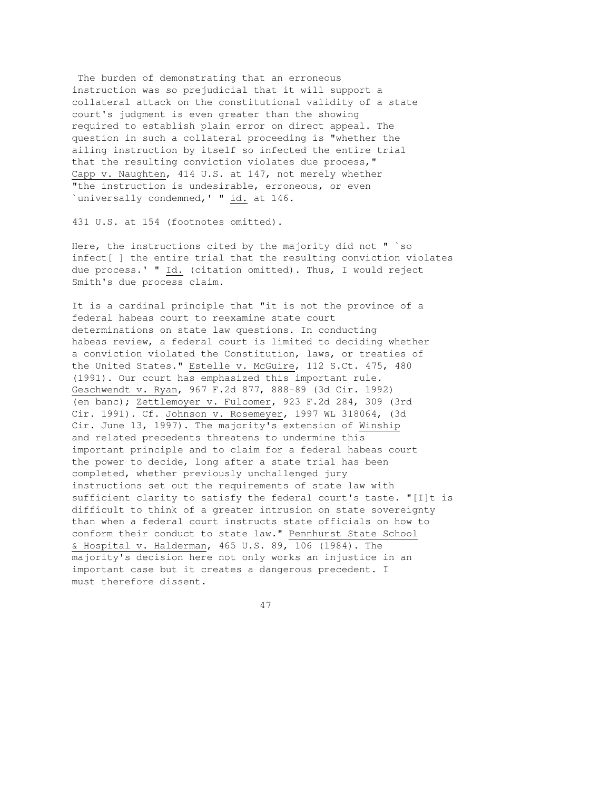The burden of demonstrating that an erroneous instruction was so prejudicial that it will support a collateral attack on the constitutional validity of a state court's judgment is even greater than the showing required to establish plain error on direct appeal. The question in such a collateral proceeding is "whether the ailing instruction by itself so infected the entire trial that the resulting conviction violates due process," Capp v. Naughten, 414 U.S. at 147, not merely whether "the instruction is undesirable, erroneous, or even `universally condemned,' " id. at 146.

431 U.S. at 154 (footnotes omitted).

Here, the instructions cited by the majority did not " `so infect[ ] the entire trial that the resulting conviction violates due process.' " Id. (citation omitted). Thus, I would reject Smith's due process claim.

It is a cardinal principle that "it is not the province of a federal habeas court to reexamine state court determinations on state law questions. In conducting habeas review, a federal court is limited to deciding whether a conviction violated the Constitution, laws, or treaties of the United States." Estelle v. McGuire, 112 S.Ct. 475, 480 (1991). Our court has emphasized this important rule. Geschwendt v. Ryan, 967 F.2d 877, 888-89 (3d Cir. 1992) (en banc); Zettlemoyer v. Fulcomer, 923 F.2d 284, 309 (3rd Cir. 1991). Cf. Johnson v. Rosemeyer, 1997 WL 318064, (3d Cir. June 13, 1997). The majority's extension of Winship and related precedents threatens to undermine this important principle and to claim for a federal habeas court the power to decide, long after a state trial has been completed, whether previously unchallenged jury instructions set out the requirements of state law with sufficient clarity to satisfy the federal court's taste. "[I]t is difficult to think of a greater intrusion on state sovereignty than when a federal court instructs state officials on how to conform their conduct to state law." Pennhurst State School & Hospital v. Halderman, 465 U.S. 89, 106 (1984). The majority's decision here not only works an injustice in an important case but it creates a dangerous precedent. I must therefore dissent.